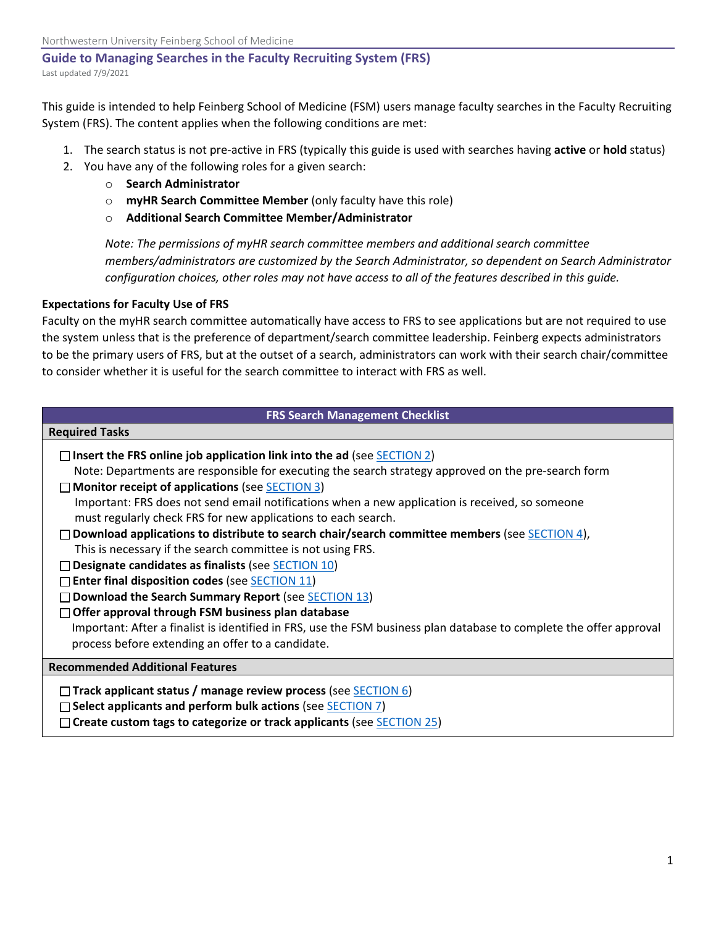#### **Guide to Managing Searches in the Faculty Recruiting System (FRS)** Last updated 7/9/2021

This guide is intended to help Feinberg School of Medicine (FSM) users manage faculty searches in the Faculty Recruiting System (FRS). The content applies when the following conditions are met:

- 1. The search status is not pre-active in FRS (typically this guide is used with searches having **active** or **hold** status)
- 2. You have any of the following roles for a given search:
	- o **Search Administrator**
	- o **myHR Search Committee Member** (only faculty have this role)
	- o **Additional Search Committee Member/Administrator**

*Note: The permissions of myHR search committee members and additional search committee members/administrators are customized by the Search Administrator, so dependent on Search Administrator configuration choices, other roles may not have access to all of the features described in this guide.*

#### **Expectations for Faculty Use of FRS**

Faculty on the myHR search committee automatically have access to FRS to see applications but are not required to use the system unless that is the preference of department/search committee leadership. Feinberg expects administrators to be the primary users of FRS, but at the outset of a search, administrators can work with their search chair/committee to consider whether it is useful for the search committee to interact with FRS as well.

| <b>FRS Search Management Checklist</b>                                                                              |  |  |  |  |
|---------------------------------------------------------------------------------------------------------------------|--|--|--|--|
| <b>Required Tasks</b>                                                                                               |  |  |  |  |
| $\Box$ Insert the FRS online job application link into the ad (see <b>SECTION 2</b> )                               |  |  |  |  |
| Note: Departments are responsible for executing the search strategy approved on the pre-search form                 |  |  |  |  |
| $\Box$ Monitor receipt of applications (see SECTION 3)                                                              |  |  |  |  |
| Important: FRS does not send email notifications when a new application is received, so someone                     |  |  |  |  |
| must regularly check FRS for new applications to each search.                                                       |  |  |  |  |
| Download applications to distribute to search chair/search committee members (see SECTION 4),                       |  |  |  |  |
| This is necessary if the search committee is not using FRS.                                                         |  |  |  |  |
| $\Box$ Designate candidates as finalists (see SECTION 10)                                                           |  |  |  |  |
| $\Box$ Enter final disposition codes (see SECTION 11)                                                               |  |  |  |  |
| Download the Search Summary Report (see SECTION 13)                                                                 |  |  |  |  |
| $\Box$ Offer approval through FSM business plan database                                                            |  |  |  |  |
| Important: After a finalist is identified in FRS, use the FSM business plan database to complete the offer approval |  |  |  |  |
| process before extending an offer to a candidate.                                                                   |  |  |  |  |
| <b>Recommended Additional Features</b>                                                                              |  |  |  |  |
| $\Box$ Track applicant status / manage review process (see SECTION 6)                                               |  |  |  |  |
| $\Box$ Select applicants and perform bulk actions (see SECTION 7)                                                   |  |  |  |  |
| $\Box$ Create custom tags to categorize or track applicants (see <b>SECTION 25</b> )                                |  |  |  |  |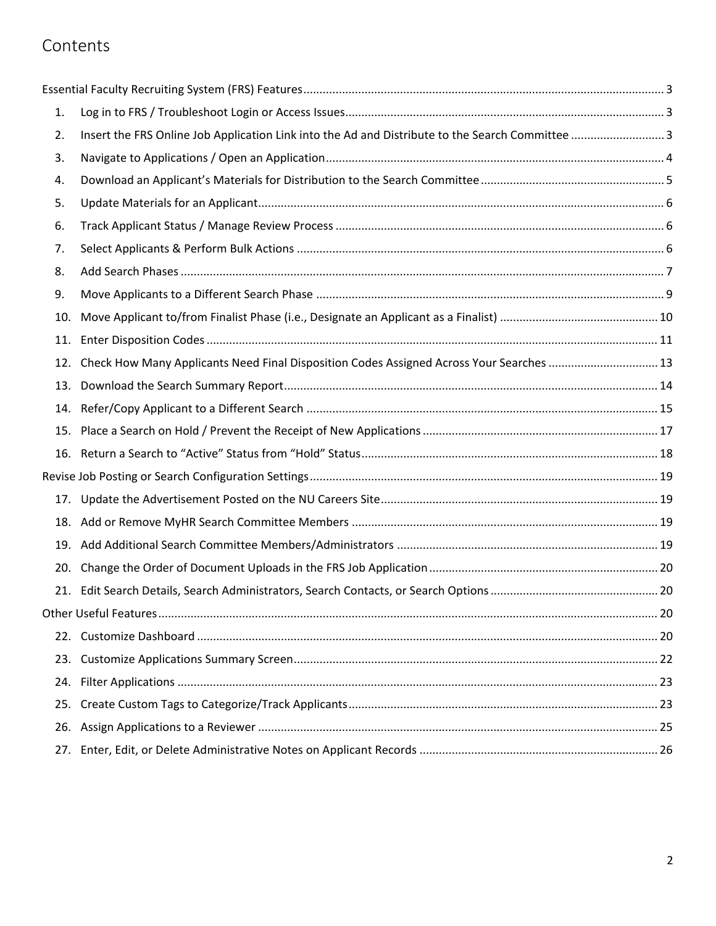# Contents

| 1.  |                                                                                                 |  |
|-----|-------------------------------------------------------------------------------------------------|--|
| 2.  | Insert the FRS Online Job Application Link into the Ad and Distribute to the Search Committee 3 |  |
| 3.  |                                                                                                 |  |
| 4.  |                                                                                                 |  |
| 5.  |                                                                                                 |  |
| 6.  |                                                                                                 |  |
| 7.  |                                                                                                 |  |
| 8.  |                                                                                                 |  |
| 9.  |                                                                                                 |  |
| 10. |                                                                                                 |  |
| 11. |                                                                                                 |  |
| 12. | Check How Many Applicants Need Final Disposition Codes Assigned Across Your Searches  13        |  |
| 13. |                                                                                                 |  |
| 14. |                                                                                                 |  |
|     |                                                                                                 |  |
|     |                                                                                                 |  |
|     |                                                                                                 |  |
| 17. |                                                                                                 |  |
|     |                                                                                                 |  |
| 19. |                                                                                                 |  |
| 20. |                                                                                                 |  |
|     |                                                                                                 |  |
|     |                                                                                                 |  |
|     |                                                                                                 |  |
| 23. |                                                                                                 |  |
| 24. |                                                                                                 |  |
| 25. |                                                                                                 |  |
| 26. |                                                                                                 |  |
| 27. |                                                                                                 |  |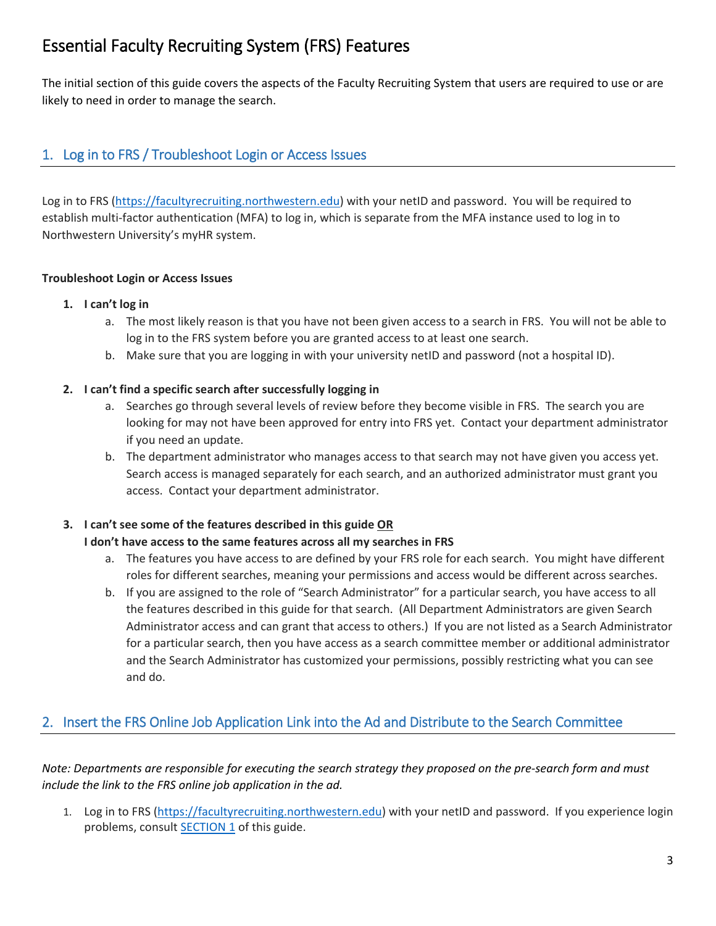# <span id="page-2-1"></span>Essential Faculty Recruiting System (FRS) Features

The initial section of this guide covers the aspects of the Faculty Recruiting System that users are required to use or are likely to need in order to manage the search.

## <span id="page-2-2"></span>1. Log in to FRS / Troubleshoot Login or Access Issues

Log in to FRS [\(https://facultyrecruiting.northwestern.edu\)](https://facultyrecruiting.northwestern.edu/) with your netID and password. You will be required to establish multi-factor authentication (MFA) to log in, which is separate from the MFA instance used to log in to Northwestern University's myHR system.

### **Troubleshoot Login or Access Issues**

### **1. I can't log in**

- a. The most likely reason is that you have not been given access to a search in FRS. You will not be able to log in to the FRS system before you are granted access to at least one search.
- b. Make sure that you are logging in with your university netID and password (not a hospital ID).

### **2. I can't find a specific search after successfully logging in**

- a. Searches go through several levels of review before they become visible in FRS. The search you are looking for may not have been approved for entry into FRS yet. Contact your department administrator if you need an update.
- b. The department administrator who manages access to that search may not have given you access yet. Search access is managed separately for each search, and an authorized administrator must grant you access. Contact your department administrator.

### **3. I can't see some of the features described in this guide OR**

### **I don't have access to the same features across all my searches in FRS**

- a. The features you have access to are defined by your FRS role for each search. You might have different roles for different searches, meaning your permissions and access would be different across searches.
- b. If you are assigned to the role of "Search Administrator" for a particular search, you have access to all the features described in this guide for that search. (All Department Administrators are given Search Administrator access and can grant that access to others.) If you are not listed as a Search Administrator for a particular search, then you have access as a search committee member or additional administrator and the Search Administrator has customized your permissions, possibly restricting what you can see and do.

## <span id="page-2-0"></span>2. Insert the FRS Online Job Application Link into the Ad and Distribute to the Search Committee

*Note: Departments are responsible for executing the search strategy they proposed on the pre-search form and must include the link to the FRS online job application in the ad.*

1. Log in to FRS [\(https://facultyrecruiting.northwestern.edu\)](https://facultyrecruiting.northwestern.edu/) with your netID and password. If you experience login problems, consult **SECTION 1** of this guide.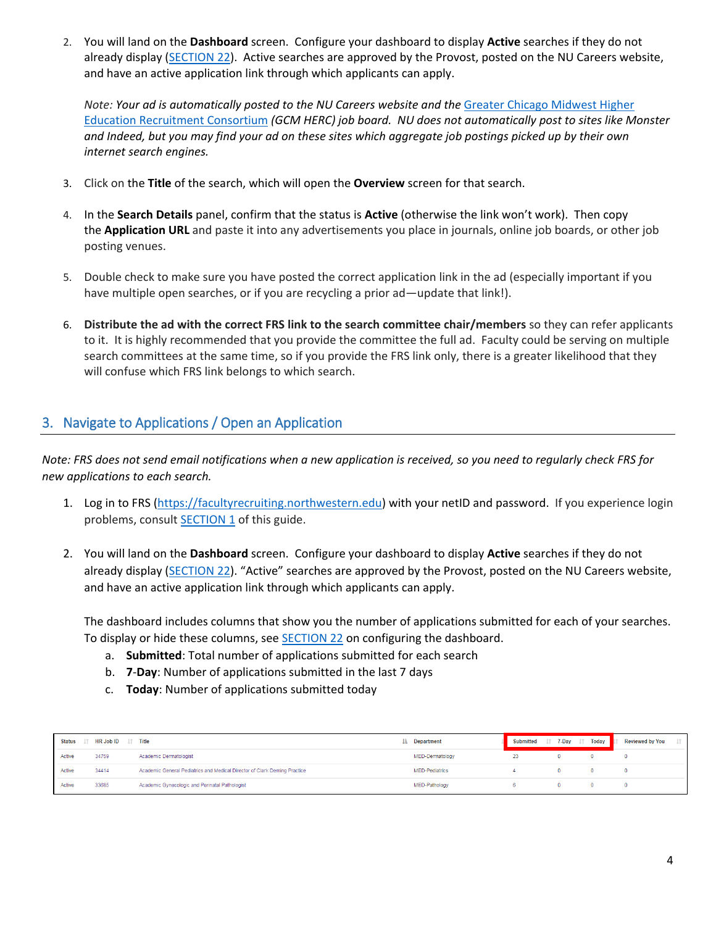2. You will land on the **Dashboard** screen. Configure your dashboard to display **Active** searches if they do not already display [\(SECTION 22\)](#page-19-4). Active searches are approved by the Provost, posted on the NU Careers website, and have an active application link through which applicants can apply.

*Note: Your ad is automatically posted to the NU Careers website and the* [Greater Chicago Midwest Higher](https://www.hercjobs.org/greater_chicago_midwest/index.html)  [Education Recruitment Consortium](https://www.hercjobs.org/greater_chicago_midwest/index.html) *(GCM HERC) job board. NU does not automatically post to sites like Monster and Indeed, but you may find your ad on these sites which aggregate job postings picked up by their own internet search engines.* 

- 3. Click on the **Title** of the search, which will open the **Overview** screen for that search.
- 4. In the **Search Details** panel, confirm that the status is **Active** (otherwise the link won't work). Then copy the **Application URL** and paste it into any advertisements you place in journals, online job boards, or other job posting venues.
- 5. Double check to make sure you have posted the correct application link in the ad (especially important if you have multiple open searches, or if you are recycling a prior ad—update that link!).
- 6. **Distribute the ad with the correct FRS link to the search committee chair/members** so they can refer applicants to it. It is highly recommended that you provide the committee the full ad. Faculty could be serving on multiple search committees at the same time, so if you provide the FRS link only, there is a greater likelihood that they will confuse which FRS link belongs to which search.

# <span id="page-3-0"></span>3. Navigate to Applications / Open an Application

*Note: FRS does not send email notifications when a new application is received, so you need to regularly check FRS for new applications to each search.*

- 1. Log in to FRS [\(https://facultyrecruiting.northwestern.edu\)](https://facultyrecruiting.northwestern.edu/) with your netID and password. If you experience login problems, consult **SECTION 1** of this guide.
- 2. You will land on the **Dashboard** screen. Configure your dashboard to display **Active** searches if they do not already display [\(SECTION 22\)](#page-19-4). "Active" searches are approved by the Provost, posted on the NU Careers website, and have an active application link through which applicants can apply.

The dashboard includes columns that show you the number of applications submitted for each of your searches. To display or hide these columns, see [SECTION 22](#page-19-4) on configuring the dashboard.

- a. **Submitted**: Total number of applications submitted for each search
- b. **7**-**Day**: Number of applications submitted in the last 7 days
- c. **Today**: Number of applications submitted today

| <b>Status</b> | <b>HR Job ID</b> | $1†$ Title                                                                | <b>1</b> Department | <b>Submitted</b> | 7-Day | Today | <b>Reviewed by You</b> |
|---------------|------------------|---------------------------------------------------------------------------|---------------------|------------------|-------|-------|------------------------|
| Active        | 34759            | Academic Dermatologist                                                    | MED-Dermatology     |                  |       |       |                        |
| Active        | 34414            | Academic General Pediatrics and Medical Director of Clark Deming Practice | MED-Pediatrics      |                  |       |       |                        |
| Active        | 33685            | Academic Gynecologic and Perinatal Pathologist                            | MED-Pathology       |                  |       |       |                        |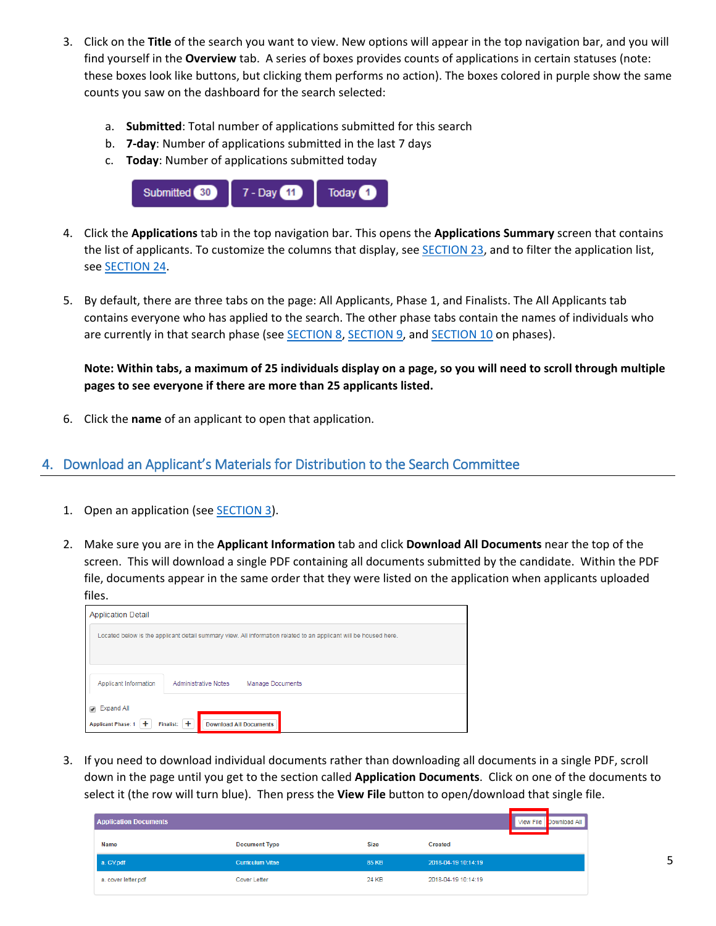- 3. Click on the **Title** of the search you want to view. New options will appear in the top navigation bar, and you will find yourself in the **Overview** tab. A series of boxes provides counts of applications in certain statuses (note: these boxes look like buttons, but clicking them performs no action). The boxes colored in purple show the same counts you saw on the dashboard for the search selected:
	- a. **Submitted**: Total number of applications submitted for this search
	- b. **7-day**: Number of applications submitted in the last 7 days
	- c. **Today**: Number of applications submitted today



- 4. Click the **Applications** tab in the top navigation bar. This opens the **Applications Summary** screen that contains the list of applicants. To customize the columns that display, see [SECTION 23,](#page-21-1) and to filter the application list, se[e SECTION 24.](#page-22-3)
- 5. By default, there are three tabs on the page: All Applicants, Phase 1, and Finalists. The All Applicants tab contains everyone who has applied to the search. The other phase tabs contain the names of individuals who are currently in that search phase (se[e SECTION 8,](#page-6-1) [SECTION 9,](#page-8-0) and [SECTION 10](#page-9-0) on phases).

**Note: Within tabs, a maximum of 25 individuals display on a page, so you will need to scroll through multiple pages to see everyone if there are more than 25 applicants listed.**

6. Click the **name** of an applicant to open that application.

### <span id="page-4-0"></span>4. Download an Applicant's Materials for Distribution to the Search Committee

- 1. Open an application (see **SECTION 3**).
- 2. Make sure you are in the **Applicant Information** tab and click **Download All Documents** near the top of the screen. This will download a single PDF containing all documents submitted by the candidate. Within the PDF file, documents appear in the same order that they were listed on the application when applicants uploaded files.

| <b>Application Detail</b>                                                                                                  |  |  |  |  |
|----------------------------------------------------------------------------------------------------------------------------|--|--|--|--|
| Located below is the applicant detail summary view. All information related to an applicant will be housed here.           |  |  |  |  |
| Applicant Information<br><b>Administrative Notes</b><br><b>Manage Documents</b>                                            |  |  |  |  |
| <b>Expand All</b><br>$\overline{\mathcal{L}}$<br><b>Applicant Phase: 1</b><br>Finalist: +<br><b>Download All Documents</b> |  |  |  |  |

3. If you need to download individual documents rather than downloading all documents in a single PDF, scroll down in the page until you get to the section called **Application Documents**. Click on one of the documents to select it (the row will turn blue). Then press the **View File** button to open/download that single file.

| <b>Application Documents</b> |                         |             |                     |  | View File Download All |
|------------------------------|-------------------------|-------------|---------------------|--|------------------------|
| Name                         | <b>Document Type</b>    | <b>Size</b> | <b>Created</b>      |  |                        |
| a. CV.pdf                    | <b>Curriculum Vitae</b> | 85 KB       | 2018-04-19 10:14:19 |  |                        |
| a. cover letter.pdf          | Cover Letter            | 24 KB       | 2018-04-19 10:14:19 |  |                        |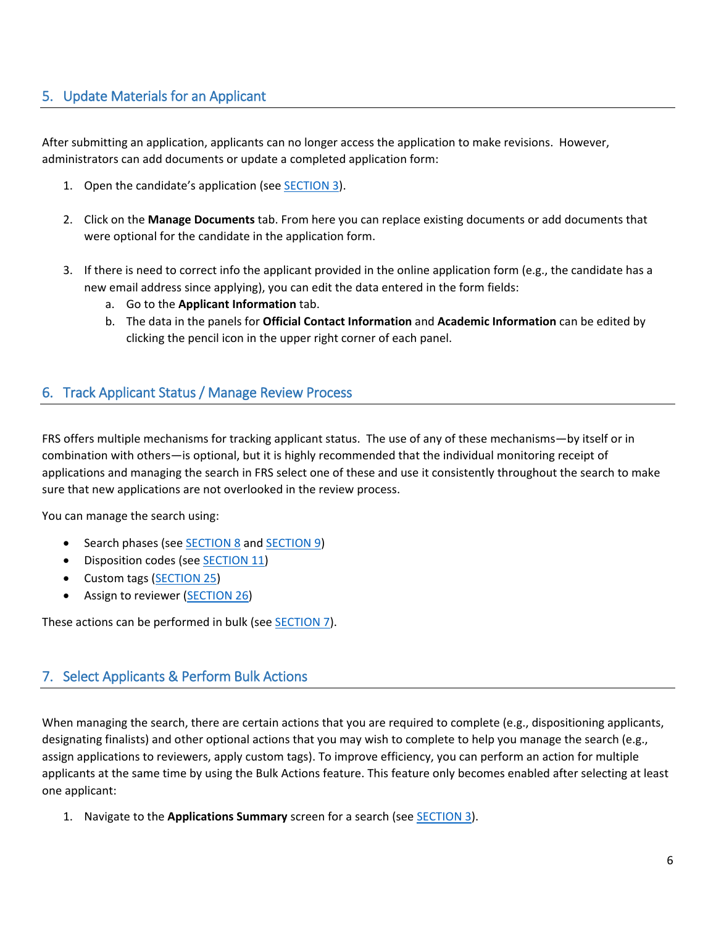# <span id="page-5-1"></span>5. Update Materials for an Applicant

After submitting an application, applicants can no longer access the application to make revisions. However, administrators can add documents or update a completed application form:

- 1. Open the candidate's application (see [SECTION](#page-3-0) 3).
- 2. Click on the **Manage Documents** tab. From here you can replace existing documents or add documents that were optional for the candidate in the application form.
- 3. If there is need to correct info the applicant provided in the online application form (e.g., the candidate has a new email address since applying), you can edit the data entered in the form fields:
	- a. Go to the **Applicant Information** tab.
	- b. The data in the panels for **Official Contact Information** and **Academic Information** can be edited by clicking the pencil icon in the upper right corner of each panel.

### <span id="page-5-2"></span>6. Track Applicant Status / Manage Review Process

FRS offers multiple mechanisms for tracking applicant status. The use of any of these mechanisms—by itself or in combination with others—is optional, but it is highly recommended that the individual monitoring receipt of applications and managing the search in FRS select one of these and use it consistently throughout the search to make sure that new applications are not overlooked in the review process.

You can manage the search using:

- Search phases (see [SECTION](#page-6-1) 8 an[d SECTION 9\)](#page-8-0)
- Disposition codes (see [SECTION](#page-10-0) 11)
- Custom tags [\(SECTION 25\)](#page-22-0)
- Assign to reviewer [\(SECTION 26\)](#page-24-1)

These actions can be performed in bulk (see [SECTION 7\)](#page-5-0).

### <span id="page-5-0"></span>7. Select Applicants & Perform Bulk Actions

When managing the search, there are certain actions that you are required to complete (e.g., dispositioning applicants, designating finalists) and other optional actions that you may wish to complete to help you manage the search (e.g., assign applications to reviewers, apply custom tags). To improve efficiency, you can perform an action for multiple applicants at the same time by using the Bulk Actions feature. This feature only becomes enabled after selecting at least one applicant:

1. Navigate to the **Applications Summary** screen for a search (se[e SECTION 3\)](#page-3-0).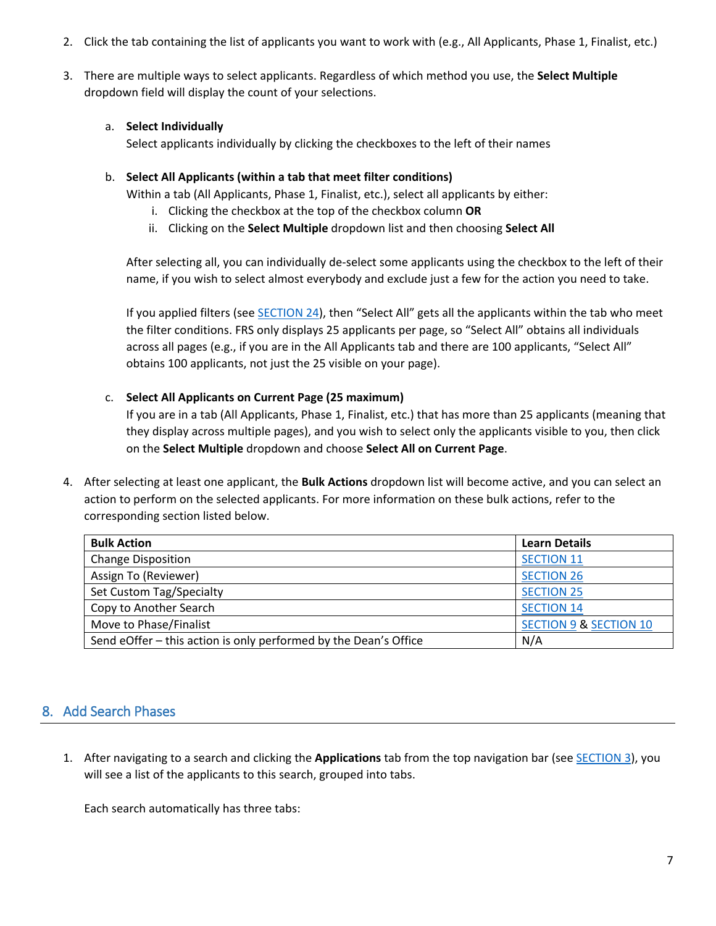- 2. Click the tab containing the list of applicants you want to work with (e.g., All Applicants, Phase 1, Finalist, etc.)
- 3. There are multiple ways to select applicants. Regardless of which method you use, the **Select Multiple** dropdown field will display the count of your selections.

### a. **Select Individually**

Select applicants individually by clicking the checkboxes to the left of their names

### b. **Select All Applicants (within a tab that meet filter conditions)**

Within a tab (All Applicants, Phase 1, Finalist, etc.), select all applicants by either:

- i. Clicking the checkbox at the top of the checkbox column **OR**
- ii. Clicking on the **Select Multiple** dropdown list and then choosing **Select All**

After selecting all, you can individually de-select some applicants using the checkbox to the left of their name, if you wish to select almost everybody and exclude just a few for the action you need to take.

If you applied filters (see **SECTION 24)**, then "Select All" gets all the applicants within the tab who meet the filter conditions. FRS only displays 25 applicants per page, so "Select All" obtains all individuals across all pages (e.g., if you are in the All Applicants tab and there are 100 applicants, "Select All" obtains 100 applicants, not just the 25 visible on your page).

### c. **Select All Applicants on Current Page (25 maximum)**

If you are in a tab (All Applicants, Phase 1, Finalist, etc.) that has more than 25 applicants (meaning that they display across multiple pages), and you wish to select only the applicants visible to you, then click on the **Select Multiple** dropdown and choose **Select All on Current Page**.

4. After selecting at least one applicant, the **Bulk Actions** dropdown list will become active, and you can select an action to perform on the selected applicants. For more information on these bulk actions, refer to the corresponding section listed below.

| <b>Bulk Action</b>                                               | <b>Learn Details</b>              |
|------------------------------------------------------------------|-----------------------------------|
| <b>Change Disposition</b>                                        | <b>SECTION 11</b>                 |
| Assign To (Reviewer)                                             | <b>SECTION 26</b>                 |
| Set Custom Tag/Specialty                                         | <b>SECTION 25</b>                 |
| Copy to Another Search                                           | <b>SECTION 14</b>                 |
| Move to Phase/Finalist                                           | <b>SECTION 9 &amp; SECTION 10</b> |
| Send eOffer - this action is only performed by the Dean's Office | N/A                               |

### <span id="page-6-1"></span><span id="page-6-0"></span>8. Add Search Phases

1. After navigating to a search and clicking the **Applications** tab from the top navigation bar (see [SECTION](#page-3-0) 3), you will see a list of the applicants to this search, grouped into tabs.

Each search automatically has three tabs: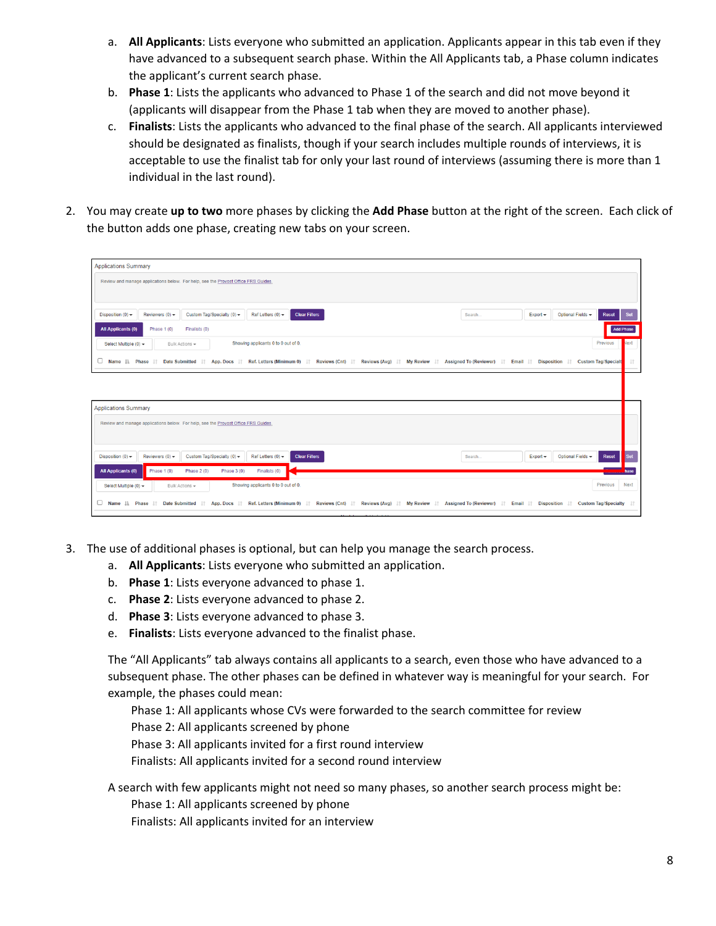- a. **All Applicants**: Lists everyone who submitted an application. Applicants appear in this tab even if they have advanced to a subsequent search phase. Within the All Applicants tab, a Phase column indicates the applicant's current search phase.
- b. **Phase 1**: Lists the applicants who advanced to Phase 1 of the search and did not move beyond it (applicants will disappear from the Phase 1 tab when they are moved to another phase).
- c. **Finalists**: Lists the applicants who advanced to the final phase of the search. All applicants interviewed should be designated as finalists, though if your search includes multiple rounds of interviews, it is acceptable to use the finalist tab for only your last round of interviews (assuming there is more than 1 individual in the last round).
- 2. You may create **up to two** more phases by clicking the **Add Phase** button at the right of the screen. Each click of the button adds one phase, creating new tabs on your screen.

| <b>Applications Summary</b>                                                                                                                                                          |        |            |                   |                                |                  |
|--------------------------------------------------------------------------------------------------------------------------------------------------------------------------------------|--------|------------|-------------------|--------------------------------|------------------|
| Review and manage applications below. For help, see the Provost Office FRS Guides.                                                                                                   |        |            |                   |                                |                  |
| Custom Tag/Specialty $(0)$ $\rightarrow$<br>Ref Letters $(0)$ $\star$<br><b>Clear Filters</b><br>Disposition $(0)$ $\rightarrow$<br>Reviewers $(0)$ $\star$                          | Search | $Export -$ | Optional Fields - | <b>Reset</b>                   | Set              |
| <b>All Applicants (0)</b><br>Phase 1 (0)<br>Finalists (0)                                                                                                                            |        |            |                   |                                | <b>Add Phase</b> |
| Showing applicants 0 to 0 out of 0.<br>Select Multiple (0) -<br>Bulk Actions -                                                                                                       |        |            |                   | Previous                       | Vext             |
| U<br>App. Docs    Ref. Letters (Minimum 0)    Reviews (Cnt)    Reviews (Avg)    My Review    Assigned To (Reviewer)    Email    Disposition   <br>Name IL Phase IT Date Submitted IT |        |            |                   | <b>Custom Tag/Specialt</b>     | $\perp$ î        |
|                                                                                                                                                                                      |        |            |                   |                                |                  |
| <b>Applications Summary</b>                                                                                                                                                          |        |            |                   |                                |                  |
| Review and manage applications below. For help, see the Provost Office FRS Guides.                                                                                                   |        |            |                   |                                |                  |
| Custom Tag/Specialty (0) -<br>Ref Letters $(0)$ $\star$<br>Disposition $(0)$ $\star$<br>Reviewers $(0)$ $\sim$<br><b>Clear Filters</b>                                               | Search | $Export -$ | Optional Fields - | Reset                          | Set              |
| <b>All Applicants (0)</b><br>Phase 1 (0)<br>Phase $2(0)$<br>Finalists (0)<br>Phase $3(0)$                                                                                            |        |            |                   |                                | hase             |
| Showing applicants 0 to 0 out of 0.<br>Bulk Actions +<br>Select Multiple (0) -                                                                                                       |        |            |                   | Previous                       | Next             |
| App. Docs    Ref. Letters (Minimum 0)    Reviews (Cnt)    Reviews (Avg)    My Review    Assigned To (Reviewer)    Email    Disposition<br>u<br>Name IL Phase It Date Submitted It    |        |            | $\perp$ r         | <b>Custom Tag/Specialty</b> IT |                  |

- 3. The use of additional phases is optional, but can help you manage the search process.
	- a. **All Applicants**: Lists everyone who submitted an application.
	- b. **Phase 1**: Lists everyone advanced to phase 1.
	- c. **Phase 2**: Lists everyone advanced to phase 2.
	- d. **Phase 3**: Lists everyone advanced to phase 3.
	- e. **Finalists**: Lists everyone advanced to the finalist phase.

The "All Applicants" tab always contains all applicants to a search, even those who have advanced to a subsequent phase. The other phases can be defined in whatever way is meaningful for your search. For example, the phases could mean:

 Phase 1: All applicants whose CVs were forwarded to the search committee for review Phase 2: All applicants screened by phone Phase 3: All applicants invited for a first round interview Finalists: All applicants invited for a second round interview

A search with few applicants might not need so many phases, so another search process might be: Phase 1: All applicants screened by phone Finalists: All applicants invited for an interview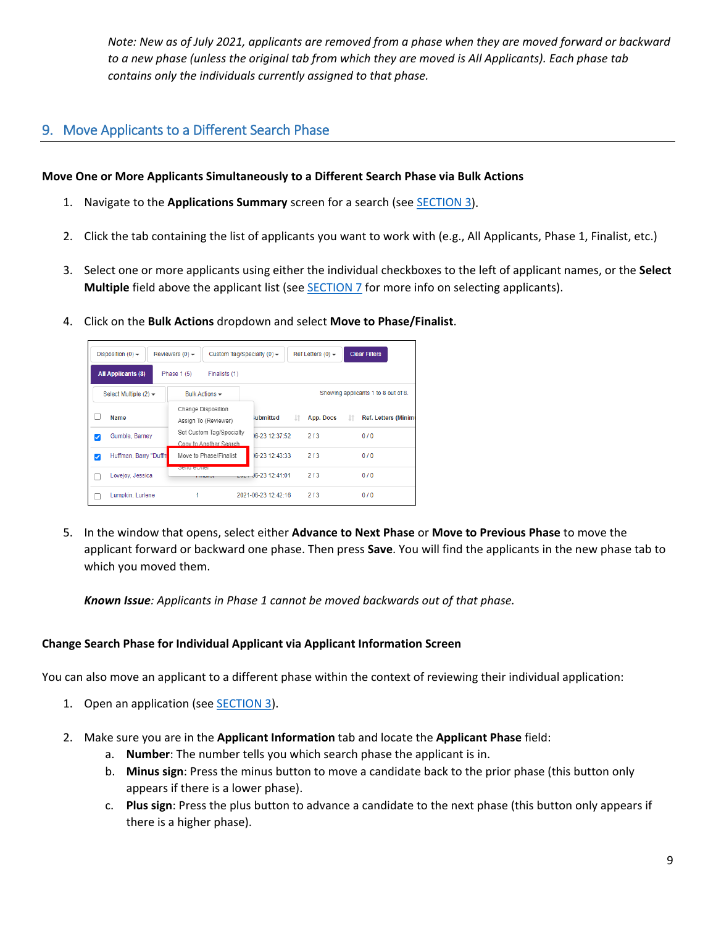*Note: New as of July 2021, applicants are removed from a phase when they are moved forward or backward to a new phase (unless the original tab from which they are moved is All Applicants). Each phase tab contains only the individuals currently assigned to that phase.*

# <span id="page-8-0"></span>9. Move Applicants to a Different Search Phase

### **Move One or More Applicants Simultaneously to a Different Search Phase via Bulk Actions**

- 1. Navigate to the **Applications Summary** screen for a search (se[e SECTION 3\)](#page-3-0).
- 2. Click the tab containing the list of applicants you want to work with (e.g., All Applicants, Phase 1, Finalist, etc.)
- 3. Select one or more applicants using either the individual checkboxes to the left of applicant names, or the **Select Multiple** field above the applicant list (see [SECTION 7](#page-5-0) for more info on selecting applicants).
- 4. Click on the **Bulk Actions** dropdown and select **Move to Phase/Finalist**.



5. In the window that opens, select either **Advance to Next Phase** or **Move to Previous Phase** to move the applicant forward or backward one phase. Then press **Save**. You will find the applicants in the new phase tab to which you moved them.

*Known Issue: Applicants in Phase 1 cannot be moved backwards out of that phase.*

### **Change Search Phase for Individual Applicant via Applicant Information Screen**

You can also move an applicant to a different phase within the context of reviewing their individual application:

- 1. Open an application (see [SECTION](#page-3-0) 3).
- 2. Make sure you are in the **Applicant Information** tab and locate the **Applicant Phase** field:
	- a. **Number**: The number tells you which search phase the applicant is in.
	- b. **Minus sign**: Press the minus button to move a candidate back to the prior phase (this button only appears if there is a lower phase).
	- c. **Plus sign**: Press the plus button to advance a candidate to the next phase (this button only appears if there is a higher phase).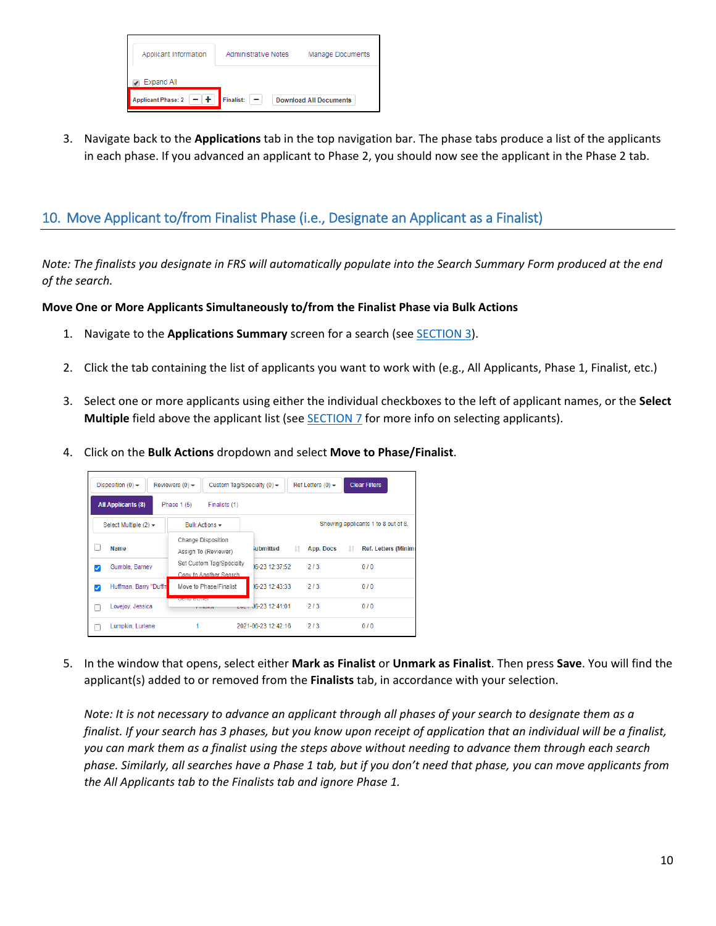| Applicant Information     | <b>Administrative Notes</b> | <b>Manage Documents</b>       |
|---------------------------|-----------------------------|-------------------------------|
| Expand All                |                             |                               |
| <b>Applicant Phase: 2</b> | <b>Finalist:</b>            | <b>Download All Documents</b> |

3. Navigate back to the **Applications** tab in the top navigation bar. The phase tabs produce a list of the applicants in each phase. If you advanced an applicant to Phase 2, you should now see the applicant in the Phase 2 tab.

# <span id="page-9-1"></span><span id="page-9-0"></span>10. Move Applicant to/from Finalist Phase (i.e., Designate an Applicant as a Finalist)

*Note: The finalists you designate in FRS will automatically populate into the Search Summary Form produced at the end of the search.*

### **Move One or More Applicants Simultaneously to/from the Finalist Phase via Bulk Actions**

- 1. Navigate to the **Applications Summary** screen for a search (se[e SECTION 3\)](#page-3-0).
- 2. Click the tab containing the list of applicants you want to work with (e.g., All Applicants, Phase 1, Finalist, etc.)
- 3. Select one or more applicants using either the individual checkboxes to the left of applicant names, or the **Select Multiple** field above the applicant list (see **SECTION 7** for more info on selecting applicants).
- 4. Click on the **Bulk Actions** dropdown and select **Move to Phase/Finalist**.

|   | Disposition $(0)$ $\rightarrow$ | Reviewers $(0)$ $\rightarrow$ | Custom Tag/Specialty $(0)$ $\star$                  |                      |     | Ref Letters $(0)$ $\rightarrow$ | <b>Clear Filters</b>                |                            |
|---|---------------------------------|-------------------------------|-----------------------------------------------------|----------------------|-----|---------------------------------|-------------------------------------|----------------------------|
|   | <b>All Applicants (8)</b>       | Phase 1 (5)                   | Finalists (1)                                       |                      |     |                                 |                                     |                            |
|   | Select Multiple $(2)$ $\star$   |                               | Bulk Actions $\sim$                                 |                      |     |                                 | Showing applicants 1 to 8 out of 8. |                            |
|   | <b>Name</b>                     |                               | Change Disposition<br>Assign To (Reviewer)          | iubmitted            | Jî. | App. Docs                       | Jî.                                 | <b>Ref. Letters (Minim</b> |
| ✓ | Gumble, Barney                  |                               | Set Custom Tag/Specialty<br>Copy to Another Search. | 16-23 12:37:52       |     | 2/3                             | 0/0                                 |                            |
| ⊽ | Huffman, Barry "Duffn           |                               | Move to Phase/Finalist                              | 06-23 12:43:33       |     | 2/3                             | 0/0                                 |                            |
|   | Lovejov, Jessica                | <b>DOIN CONTOL</b>            | <b>FILMINAL</b>                                     | $-44.36-23.12:41:01$ |     | 2/3                             | 0/0                                 |                            |
|   | Lumpkin, Lurlene                |                               |                                                     | 2021-06-23 12:42:16  |     | 2/3                             | 0/0                                 |                            |

5. In the window that opens, select either **Mark as Finalist** or **Unmark as Finalist**. Then press **Save**. You will find the applicant(s) added to or removed from the **Finalists** tab, in accordance with your selection.

*Note: It is not necessary to advance an applicant through all phases of your search to designate them as a finalist. If your search has 3 phases, but you know upon receipt of application that an individual will be a finalist, you can mark them as a finalist using the steps above without needing to advance them through each search phase. Similarly, all searches have a Phase 1 tab, but if you don't need that phase, you can move applicants from the All Applicants tab to the Finalists tab and ignore Phase 1.*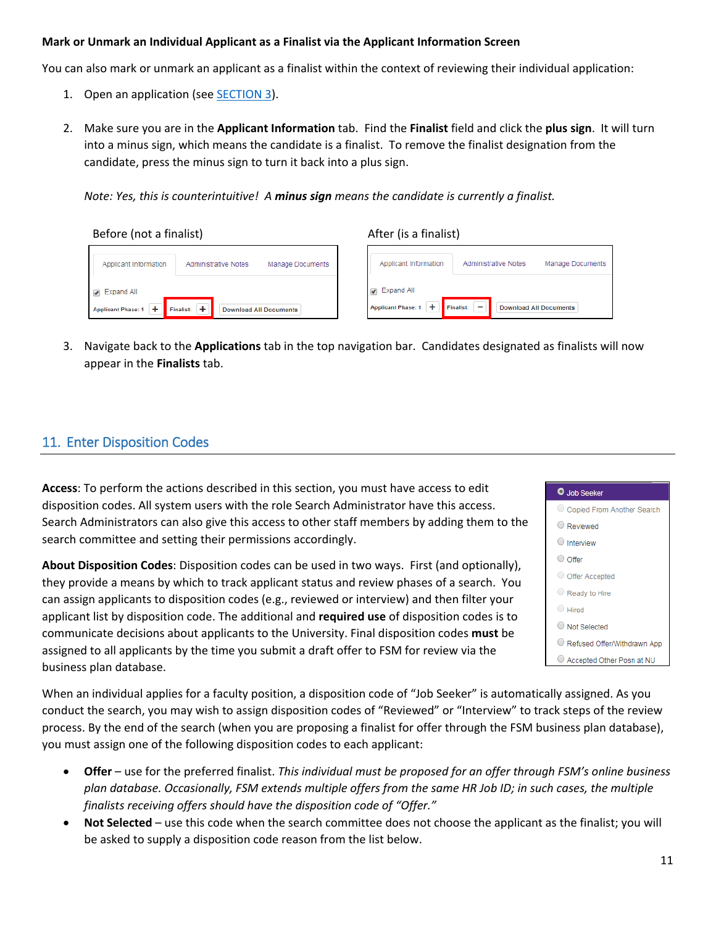#### **Mark or Unmark an Individual Applicant as a Finalist via the Applicant Information Screen**

You can also mark or unmark an applicant as a finalist within the context of reviewing their individual application:

- 1. Open an application (see [SECTION](#page-3-0) 3).
- 2. Make sure you are in the **Applicant Information** tab. Find the **Finalist** field and click the **plus sign**. It will turn into a minus sign, which means the candidate is a finalist. To remove the finalist designation from the candidate, press the minus sign to turn it back into a plus sign.

*Note: Yes, this is counterintuitive! A minus sign means the candidate is currently a finalist.*

| Before (not a finalist |  |  |  |
|------------------------|--|--|--|
|------------------------|--|--|--|

Example 2. The set of the After (is a finalist) and  $A$  and  $A$  a finalist)

| Applicant Information                                                              | <b>Administrative Notes</b>                                                                                           |
|------------------------------------------------------------------------------------|-----------------------------------------------------------------------------------------------------------------------|
| Manage Documents                                                                   | Applicant Information                                                                                                 |
| <b>Administrative Notes</b>                                                        | Manage Documents                                                                                                      |
| √ Expand All<br>Applicant Phase: 1<br>Finalist: +<br><b>Download All Documents</b> | $\blacktriangleright$ Expand All<br>÷.<br><b>Applicant Phase: 1</b><br>$Finalist:$ –<br><b>Download All Documents</b> |

3. Navigate back to the **Applications** tab in the top navigation bar. Candidates designated as finalists will now appear in the **Finalists** tab.

### <span id="page-10-1"></span><span id="page-10-0"></span>11. Enter Disposition Codes

**Access**: To perform the actions described in this section, you must have access to edit disposition codes. All system users with the role Search Administrator have this access. Search Administrators can also give this access to other staff members by adding them to the search committee and setting their permissions accordingly.

**About Disposition Codes**: Disposition codes can be used in two ways. First (and optionally), they provide a means by which to track applicant status and review phases of a search. You can assign applicants to disposition codes (e.g., reviewed or interview) and then filter your applicant list by disposition code. The additional and **required use** of disposition codes is to communicate decisions about applicants to the University. Final disposition codes **must** be assigned to all applicants by the time you submit a draft offer to FSM for review via the business plan database.



When an individual applies for a faculty position, a disposition code of "Job Seeker" is automatically assigned. As you conduct the search, you may wish to assign disposition codes of "Reviewed" or "Interview" to track steps of the review process. By the end of the search (when you are proposing a finalist for offer through the FSM business plan database), you must assign one of the following disposition codes to each applicant:

- **Offer** use for the preferred finalist. *This individual must be proposed for an offer through FSM's online business plan database. Occasionally, FSM extends multiple offers from the same HR Job ID; in such cases, the multiple finalists receiving offers should have the disposition code of "Offer."*
- **Not Selected** use this code when the search committee does not choose the applicant as the finalist; you will be asked to supply a disposition code reason from the list below.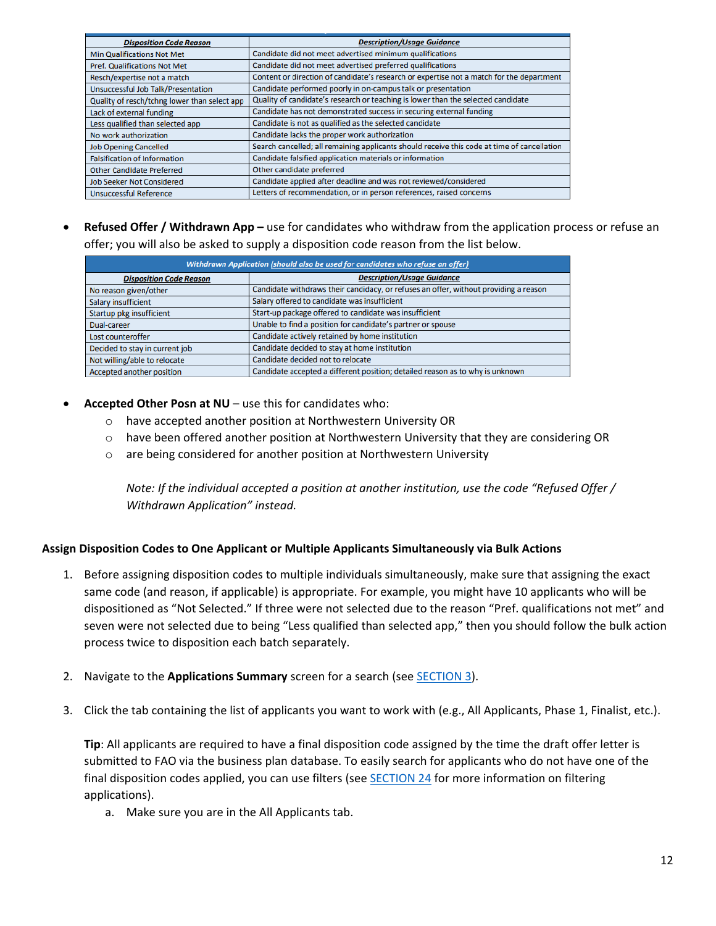| <b>Disposition Code Reason</b>               | <b>Description/Usage Guidance</b>                                                           |
|----------------------------------------------|---------------------------------------------------------------------------------------------|
| Min Qualifications Not Met                   | Candidate did not meet advertised minimum qualifications                                    |
| <b>Pref. Qualifications Not Met</b>          | Candidate did not meet advertised preferred qualifications                                  |
| Resch/expertise not a match                  | Content or direction of candidate's research or expertise not a match for the department    |
| Unsuccessful Job Talk/Presentation           | Candidate performed poorly in on-campus talk or presentation                                |
| Quality of resch/tchng lower than select app | Quality of candidate's research or teaching is lower than the selected candidate            |
| Lack of external funding                     | Candidate has not demonstrated success in securing external funding                         |
| Less qualified than selected app             | Candidate is not as qualified as the selected candidate                                     |
| No work authorization                        | Candidate lacks the proper work authorization                                               |
| <b>Job Opening Cancelled</b>                 | Search cancelled; all remaining applicants should receive this code at time of cancellation |
| <b>Falsification of Information</b>          | Candidate falsified application materials or information                                    |
| <b>Other Candidate Preferred</b>             | Other candidate preferred                                                                   |
| <b>Job Seeker Not Considered</b>             | Candidate applied after deadline and was not reviewed/considered                            |
| <b>Unsuccessful Reference</b>                | Letters of recommendation, or in person references, raised concerns                         |

• **Refused Offer / Withdrawn App –** use for candidates who withdraw from the application process or refuse an offer; you will also be asked to supply a disposition code reason from the list below.

| Withdrawn Application (should also be used for candidates who refuse an offer) |                                                                                      |  |  |  |
|--------------------------------------------------------------------------------|--------------------------------------------------------------------------------------|--|--|--|
| <b>Disposition Code Reason</b>                                                 | <b>Description/Usage Guidance</b>                                                    |  |  |  |
| No reason given/other                                                          | Candidate withdraws their candidacy, or refuses an offer, without providing a reason |  |  |  |
| Salary insufficient                                                            | Salary offered to candidate was insufficient                                         |  |  |  |
| Startup pkg insufficient                                                       | Start-up package offered to candidate was insufficient                               |  |  |  |
| Dual-career                                                                    | Unable to find a position for candidate's partner or spouse                          |  |  |  |
| Lost counteroffer                                                              | Candidate actively retained by home institution                                      |  |  |  |
| Decided to stay in current job                                                 | Candidate decided to stay at home institution                                        |  |  |  |
| Not willing/able to relocate                                                   | Candidate decided not to relocate                                                    |  |  |  |
| Accepted another position                                                      | Candidate accepted a different position; detailed reason as to why is unknown        |  |  |  |

- **Accepted Other Posn at NU** use this for candidates who:
	- o have accepted another position at Northwestern University OR
	- $\circ$  have been offered another position at Northwestern University that they are considering OR
	- o are being considered for another position at Northwestern University

*Note: If the individual accepted a position at another institution, use the code "Refused Offer / Withdrawn Application" instead.*

#### **Assign Disposition Codes to One Applicant or Multiple Applicants Simultaneously via Bulk Actions**

- 1. Before assigning disposition codes to multiple individuals simultaneously, make sure that assigning the exact same code (and reason, if applicable) is appropriate. For example, you might have 10 applicants who will be dispositioned as "Not Selected." If three were not selected due to the reason "Pref. qualifications not met" and seven were not selected due to being "Less qualified than selected app," then you should follow the bulk action process twice to disposition each batch separately.
- 2. Navigate to the **Applications Summary** screen for a search (se[e SECTION 3\)](#page-3-0).
- 3. Click the tab containing the list of applicants you want to work with (e.g., All Applicants, Phase 1, Finalist, etc.).

**Tip**: All applicants are required to have a final disposition code assigned by the time the draft offer letter is submitted to FAO via the business plan database. To easily search for applicants who do not have one of the final disposition codes applied, you can use filters (se[e SECTION 24](#page-22-3) for more information on filtering applications).

a. Make sure you are in the All Applicants tab.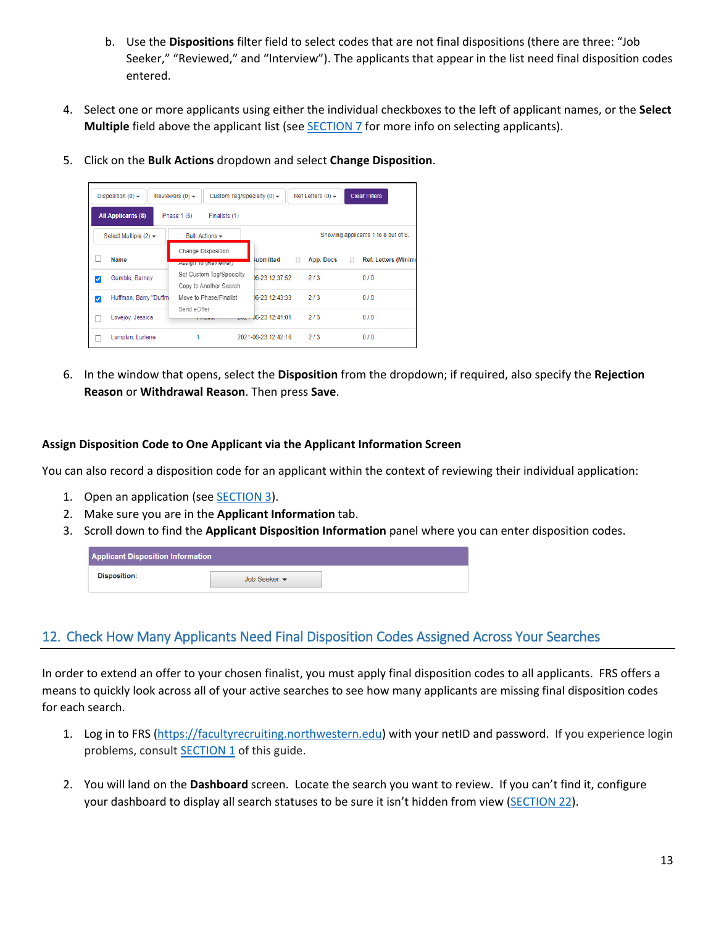- b. Use the **Dispositions** filter field to select codes that are not final dispositions (there are three: "Job Seeker," "Reviewed," and "Interview"). The applicants that appear in the list need final disposition codes entered.
- 4. Select one or more applicants using either the individual checkboxes to the left of applicant names, or the **Select Multiple** field above the applicant list (see [SECTION 7](#page-5-0) for more info on selecting applicants).
- 5. Click on the **Bulk Actions** dropdown and select **Change Disposition**.

|   | Disposition $(0)$ $\rightarrow$             | Reviewers $(0)$ $\star$<br>Custom Tag/Specialty (0) $\star$ |                        | Ref Letters $(0)$ $\rightarrow$ | <b>Clear Filters</b>                |
|---|---------------------------------------------|-------------------------------------------------------------|------------------------|---------------------------------|-------------------------------------|
|   | <b>All Applicants (8)</b>                   | Phase 1 (5)<br>Finalists (1)                                |                        |                                 |                                     |
|   | Select Multiple $(2)$ $\blacktriangleright$ | Bulk Actions -                                              |                        |                                 | Showing applicants 1 to 8 out of 8. |
|   | Name                                        | Change Disposition<br>Assign to (Reviewer)                  | iubmitted              | Jî.<br>App. Docs                | <b>Ref. Letters (Minim)</b>         |
| V | Gumble, Barney                              | Set Custom Tag/Specialty<br>Copy to Another Search          | 06-23 12:37:52         | 2/3                             | 0/0                                 |
| ⊽ | Huffman, Barry "Duffm                       | Move to Phase/Finalist<br>Send eOffer                       | 06-23 12:43:33         | 2/3                             | 0/0                                 |
|   | Lovejoy, Jessica                            | <b>THEMION</b>                                              | $-44.06 - 23.12:41:01$ | 2/3                             | 0/0                                 |
|   | Lumpkin, Lurlene                            |                                                             | 2021-06-23 12:42:16    | 2/3                             | 0/0                                 |

6. In the window that opens, select the **Disposition** from the dropdown; if required, also specify the **Rejection Reason** or **Withdrawal Reason**. Then press **Save**.

### **Assign Disposition Code to One Applicant via the Applicant Information Screen**

You can also record a disposition code for an applicant within the context of reviewing their individual application:

- 1. Open an application (see [SECTION 3\)](#page-3-0).
- 2. Make sure you are in the **Applicant Information** tab.
- 3. Scroll down to find the **Applicant Disposition Information** panel where you can enter disposition codes.

| <b>Applicant Disposition Information</b> |                                  |  |
|------------------------------------------|----------------------------------|--|
| <b>Disposition:</b>                      | Job Seeker $\blacktriangleright$ |  |

## <span id="page-12-0"></span>12. Check How Many Applicants Need Final Disposition Codes Assigned Across Your Searches

In order to extend an offer to your chosen finalist, you must apply final disposition codes to all applicants. FRS offers a means to quickly look across all of your active searches to see how many applicants are missing final disposition codes for each search.

- 1. Log in to FRS [\(https://facultyrecruiting.northwestern.edu\)](https://facultyrecruiting.northwestern.edu/) with your netID and password. If you experience login problems, consult **SECTION 1** of this guide.
- 2. You will land on the **Dashboard** screen. Locate the search you want to review. If you can't find it, configure your dashboard to display all search statuses to be sure it isn't hidden from view [\(SECTION 22\)](#page-19-4).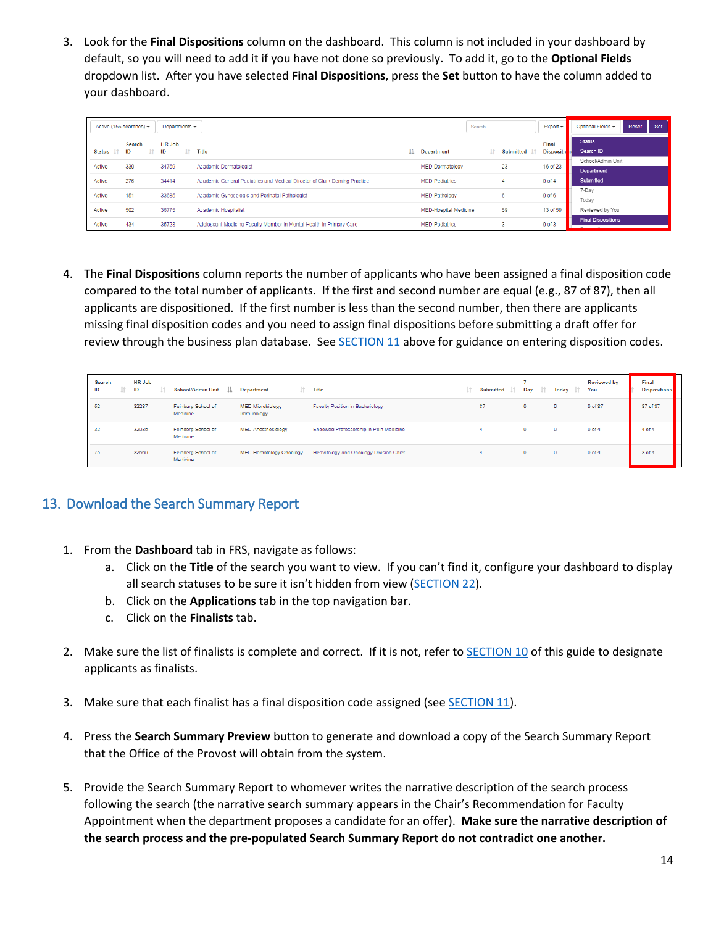3. Look for the **Final Dispositions** column on the dashboard. This column is not included in your dashboard by default, so you will need to add it if you have not done so previously. To add it, go to the **Optional Fields** dropdown list. After you have selected **Final Dispositions**, press the **Set** button to have the column added to your dashboard.

|                  | Active (156 searches) $\blacktriangledown$ | Departments $\sim$  |                                                                           |    |                              | Search |     |                  | $Export -$                 | Optional Fields -                                    | Reset | Set |
|------------------|--------------------------------------------|---------------------|---------------------------------------------------------------------------|----|------------------------------|--------|-----|------------------|----------------------------|------------------------------------------------------|-------|-----|
| Status <b>If</b> | Search<br>ID<br>T.                         | <b>HR Job</b><br>ID | $\perp \uparrow$ Title                                                    | Ιà | <b>Department</b>            |        | Lî. | <b>Submitted</b> | Final<br><b>Dispositic</b> | <b>Status</b><br>Search ID                           |       |     |
| Active           | 330                                        | 34759               | Academic Dermatologist                                                    |    | MED-Dermatology              |        |     | 23               | 16 of 23                   | School/Admin Unit<br>Department                      |       |     |
| Active           | 276                                        | 34414               | Academic General Pediatrics and Medical Director of Clark Deming Practice |    | <b>MED-Pediatrics</b>        |        |     |                  | $0$ of $4$                 | <b>Submitted</b>                                     |       |     |
| Active           | 151                                        | 33685               | Academic Gynecologic and Perinatal Pathologist                            |    | MED-Pathology                |        |     | 6                | $0$ of $6$                 | 7-Dav<br>Today                                       |       |     |
| Active           | 502                                        | 36775               | <b>Academic Hospitalist</b>                                               |    | <b>MED-Hospital Medicine</b> |        |     | 59               | 13 of 59                   | Reviewed by You                                      |       |     |
| Active           | 434                                        | 35728               | Adolescent Medicine Faculty Member in Mental Health in Primary Care       |    | <b>MED-Pediatrics</b>        |        |     |                  | $0$ of $3$                 | <b>Final Dispositions</b><br>the control of the con- |       |     |

4. The **Final Dispositions** column reports the number of applicants who have been assigned a final disposition code compared to the total number of applicants. If the first and second number are equal (e.g., 87 of 87), then all applicants are dispositioned. If the first number is less than the second number, then there are applicants missing final disposition codes and you need to assign final dispositions before submitting a draft offer for review through the business plan database. See [SECTION](#page-10-0) 11 above for guidance on entering disposition codes.

| Search<br>ID | <b>HR Job</b><br>ID | <b>School/Admin Unit</b><br>Ш. | It.<br><b>Department</b>        | <b>Title</b>                           | 1î | Submitted <b>If</b> | 7.<br>Day<br>- 11 | Today I | <b>Reviewed by</b><br>You | Final<br><b>Dispositions</b> |
|--------------|---------------------|--------------------------------|---------------------------------|----------------------------------------|----|---------------------|-------------------|---------|---------------------------|------------------------------|
| 52           | 32237               | Feinberg School of<br>Medicine | MED-Microbiology-<br>Immunology | Faculty Position in Bacteriology       |    | 87                  | $^{\circ}$        | ۰       | 0 of 87                   | 87 of 87                     |
| 32           | 32035               | Feinberg School of<br>Medicine | MED-Anesthesiology              | Endowed Professorship in Pain Medicine |    |                     | ۰                 | $\circ$ | $0$ of $4$                | $4$ of $4$                   |
| 75           | 32569               | Feinberg School of<br>Medicine | MED-Hematology Oncology         | Hematology and Oncology Division Chief |    |                     | $\bullet$         | 0       | $0$ of 4                  | 3 of 4                       |

## <span id="page-13-1"></span><span id="page-13-0"></span>13. Download the Search Summary Report

- 1. From the **Dashboard** tab in FRS, navigate as follows:
	- a. Click on the **Title** of the search you want to view. If you can't find it, configure your dashboard to display all search statuses to be sure it isn't hidden from view [\(SECTION 22\)](#page-19-4).
	- b. Click on the **Applications** tab in the top navigation bar.
	- c. Click on the **Finalists** tab.
- 2. Make sure the list of finalists is complete and correct. If it is not, refer to [SECTION](#page-9-0) 10 of this guide to designate applicants as finalists.
- 3. Make sure that each finalist has a final disposition code assigned (se[e SECTION](#page-10-0) 11).
- 4. Press the **Search Summary Preview** button to generate and download a copy of the Search Summary Report that the Office of the Provost will obtain from the system.
- 5. Provide the Search Summary Report to whomever writes the narrative description of the search process following the search (the narrative search summary appears in the Chair's Recommendation for Faculty Appointment when the department proposes a candidate for an offer). **Make sure the narrative description of the search process and the pre-populated Search Summary Report do not contradict one another.**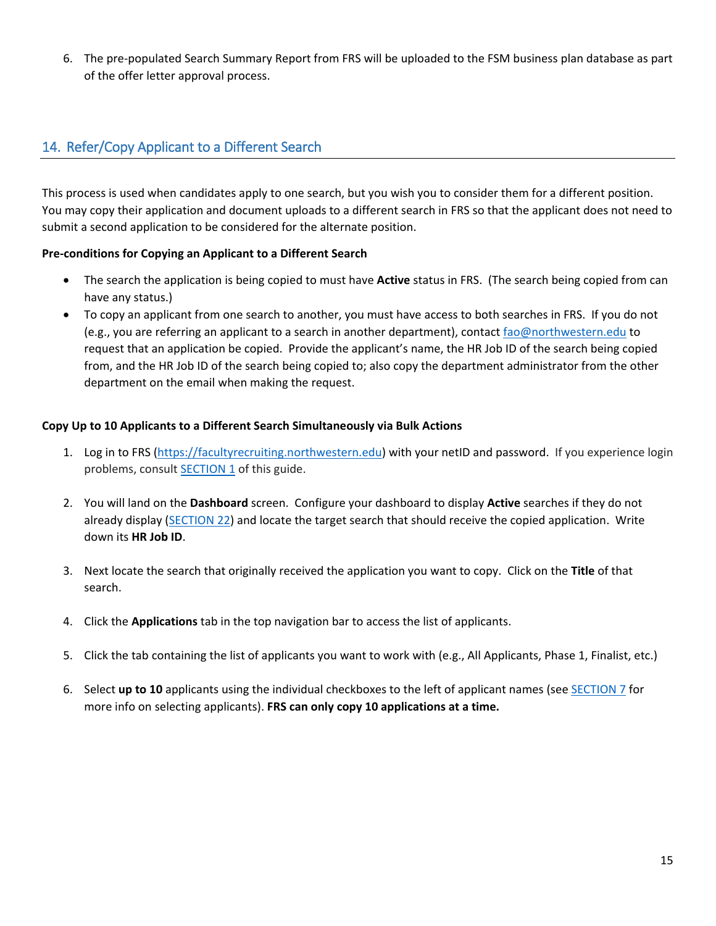6. The pre-populated Search Summary Report from FRS will be uploaded to the FSM business plan database as part of the offer letter approval process.

### <span id="page-14-1"></span><span id="page-14-0"></span>14. Refer/Copy Applicant to a Different Search

This process is used when candidates apply to one search, but you wish you to consider them for a different position. You may copy their application and document uploads to a different search in FRS so that the applicant does not need to submit a second application to be considered for the alternate position.

### **Pre-conditions for Copying an Applicant to a Different Search**

- The search the application is being copied to must have **Active** status in FRS. (The search being copied from can have any status.)
- To copy an applicant from one search to another, you must have access to both searches in FRS. If you do not (e.g., you are referring an applicant to a search in another department), contact [fao@northwestern.edu](mailto:fao@northwestern.edu) to request that an application be copied. Provide the applicant's name, the HR Job ID of the search being copied from, and the HR Job ID of the search being copied to; also copy the department administrator from the other department on the email when making the request.

### **Copy Up to 10 Applicants to a Different Search Simultaneously via Bulk Actions**

- 1. Log in to FRS [\(https://facultyrecruiting.northwestern.edu\)](https://facultyrecruiting.northwestern.edu/) with your netID and password. If you experience login problems, consult **SECTION 1** of this guide.
- 2. You will land on the **Dashboard** screen. Configure your dashboard to display **Active** searches if they do not already display [\(SECTION 22\)](#page-19-4) and locate the target search that should receive the copied application. Write down its **HR Job ID**.
- 3. Next locate the search that originally received the application you want to copy. Click on the **Title** of that search.
- 4. Click the **Applications** tab in the top navigation bar to access the list of applicants.
- 5. Click the tab containing the list of applicants you want to work with (e.g., All Applicants, Phase 1, Finalist, etc.)
- 6. Select **up to 10** applicants using the individual checkboxes to the left of applicant names (se[e SECTION 7](#page-5-0) for more info on selecting applicants). **FRS can only copy 10 applications at a time.**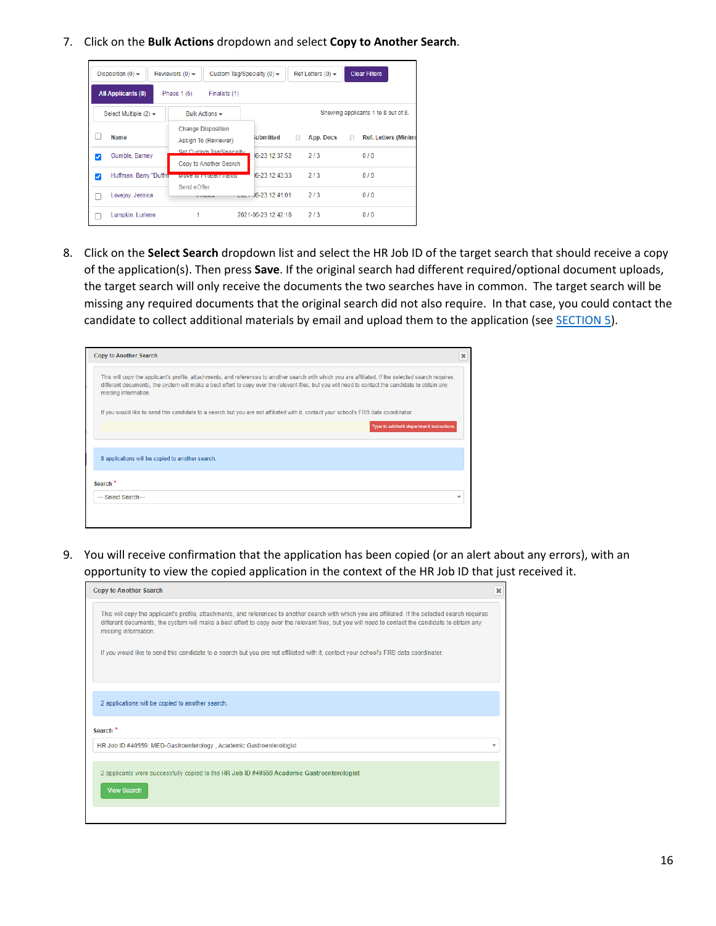7. Click on the **Bulk Actions** dropdown and select **Copy to Another Search**.

|   | Disposition $(0)$ $\rightarrow$ | Reviewers $(0)$ $\star$<br>Custom Tag/Specialty (0) $\star$ |                        | Ref Letters $(0)$ $\star$ | <b>Clear Filters</b>                |
|---|---------------------------------|-------------------------------------------------------------|------------------------|---------------------------|-------------------------------------|
|   | <b>All Applicants (8)</b>       | Phase $1(5)$<br>Finalists (1)                               |                        |                           |                                     |
|   | Select Multiple $(2)$ $\star$   | Bulk Actions -                                              |                        |                           | Showing applicants 1 to 8 out of 8. |
|   | Name                            | Change Disposition<br>Assign To (Reviewer)                  | iubmitted              | 1î<br>App. Docs           | <b>Ref. Letters (Minim</b><br>Jî.   |
| ✓ | Gumble, Barnev                  | Set Custom Tag/Specialty<br>Copy to Another Search          | 16-23 12:37:52         | 2/3                       | 0/0                                 |
| ⊽ | Huffman, Barry "Duffm           | <b>WOVE TO FINSE/FINANSE</b>                                | 16-23 12:43:33         | 2/3                       | 0/0                                 |
|   | Lovejov, Jessica                | Send eOffer<br><b>Littuation</b>                            | $-44.36 - 23.12:41:01$ | 2/3                       | 0/0                                 |
|   | Lumpkin, Lurlene                |                                                             | 2021-06-23 12:42:16    | 2/3                       | 0/0                                 |

8. Click on the **Select Search** dropdown list and select the HR Job ID of the target search that should receive a copy of the application(s). Then press **Save**. If the original search had different required/optional document uploads, the target search will only receive the documents the two searches have in common. The target search will be missing any required documents that the original search did not also require. In that case, you could contact the candidate to collect additional materials by email and upload them to the application (see **SECTION 5**).

| <b>Copy to Another Search</b>                    |                                                                                                                                                                                                                                                                                                           |
|--------------------------------------------------|-----------------------------------------------------------------------------------------------------------------------------------------------------------------------------------------------------------------------------------------------------------------------------------------------------------|
| missing information.                             | This will copy the applicant's profile, attachments, and references to another search with which you are affiliated. If the selected search requires<br>different documents, the system will make a best effort to copy over the relevant files, but you will need to contact the candidate to obtain any |
|                                                  | If you would like to send this candidate to a search but you are not affiliated with it, contact your school's FRS data coordinator.                                                                                                                                                                      |
|                                                  | Type to add/edit department instructions                                                                                                                                                                                                                                                                  |
|                                                  |                                                                                                                                                                                                                                                                                                           |
|                                                  |                                                                                                                                                                                                                                                                                                           |
| 8 applications will be copied to another search. |                                                                                                                                                                                                                                                                                                           |
| Search <sup>*</sup>                              |                                                                                                                                                                                                                                                                                                           |

9. You will receive confirmation that the application has been copied (or an alert about any errors), with an opportunity to view the copied application in the context of the HR Job ID that just received it.

| This will copy the applicant's profile, attachments, and references to another search with which you are affiliated. If the selected search requires<br>different documents, the system will make a best effort to copy over the relevant files, but you will need to contact the candidate to obtain any<br>missing information.<br>If you would like to send this candidate to a search but you are not affiliated with it, contact your school's FRS data coordinator. |  |
|---------------------------------------------------------------------------------------------------------------------------------------------------------------------------------------------------------------------------------------------------------------------------------------------------------------------------------------------------------------------------------------------------------------------------------------------------------------------------|--|
|                                                                                                                                                                                                                                                                                                                                                                                                                                                                           |  |
|                                                                                                                                                                                                                                                                                                                                                                                                                                                                           |  |
| 2 applications will be copied to another search.                                                                                                                                                                                                                                                                                                                                                                                                                          |  |
| Search <sup>*</sup>                                                                                                                                                                                                                                                                                                                                                                                                                                                       |  |
| HR Job ID #40559: MED-Gastroenterology . Academic Gastroenterologist<br>÷                                                                                                                                                                                                                                                                                                                                                                                                 |  |
| 2 applicants were successfully copied to the HR Job ID #40559 Academic Gastroenterologist<br><b>View Search</b>                                                                                                                                                                                                                                                                                                                                                           |  |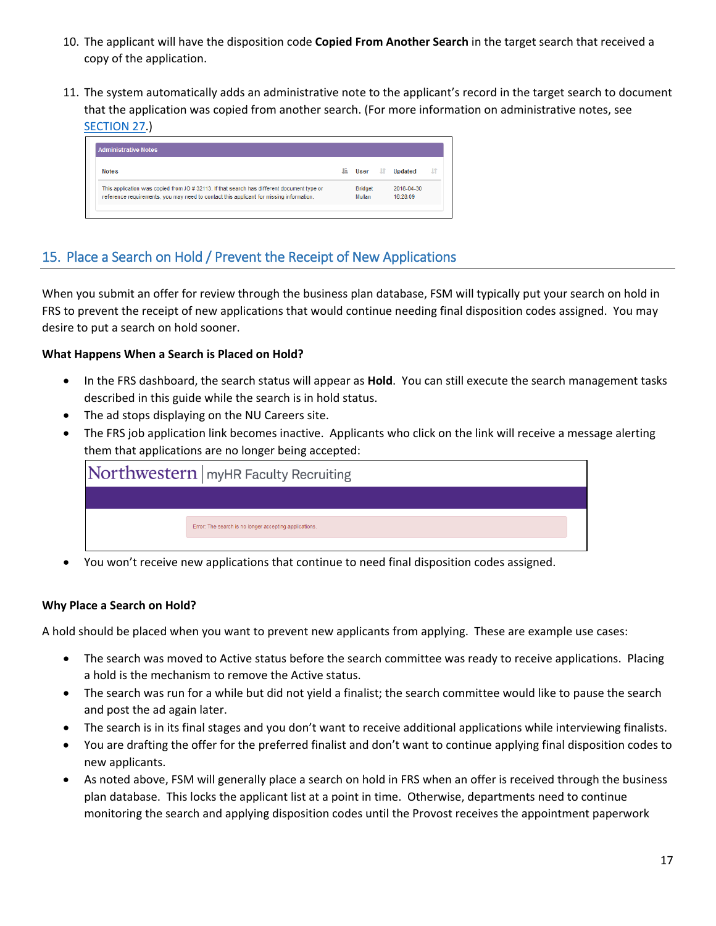- 10. The applicant will have the disposition code **Copied From Another Search** in the target search that received a copy of the application.
- 11. The system automatically adds an administrative note to the applicant's record in the target search to document that the application was copied from another search. (For more information on administrative notes, see [SECTION 27.](#page-25-1))

| <b>Notes</b>                                                                                                                                                                          | lä. | User                     | ١î | Updated                | ١î |
|---------------------------------------------------------------------------------------------------------------------------------------------------------------------------------------|-----|--------------------------|----|------------------------|----|
| This application was copied from JO # 32113. If that search has different document type or<br>reference requirements, you may need to contact this applicant for missing information. |     | <b>Bridget</b><br>Mullan |    | 2018-04-30<br>16:28:09 |    |

# <span id="page-16-0"></span>15. Place a Search on Hold / Prevent the Receipt of New Applications

When you submit an offer for review through the business plan database, FSM will typically put your search on hold in FRS to prevent the receipt of new applications that would continue needing final disposition codes assigned. You may desire to put a search on hold sooner.

### **What Happens When a Search is Placed on Hold?**

- In the FRS dashboard, the search status will appear as **Hold**. You can still execute the search management tasks described in this guide while the search is in hold status.
- The ad stops displaying on the NU Careers site.
- The FRS job application link becomes inactive. Applicants who click on the link will receive a message alerting them that applications are no longer being accepted:

| Northwestern   myHR Faculty Recruiting                 |
|--------------------------------------------------------|
|                                                        |
| Error: The search is no longer accepting applications. |
|                                                        |

• You won't receive new applications that continue to need final disposition codes assigned.

### **Why Place a Search on Hold?**

A hold should be placed when you want to prevent new applicants from applying. These are example use cases:

- The search was moved to Active status before the search committee was ready to receive applications. Placing a hold is the mechanism to remove the Active status.
- The search was run for a while but did not yield a finalist; the search committee would like to pause the search and post the ad again later.
- The search is in its final stages and you don't want to receive additional applications while interviewing finalists.
- You are drafting the offer for the preferred finalist and don't want to continue applying final disposition codes to new applicants.
- As noted above, FSM will generally place a search on hold in FRS when an offer is received through the business plan database. This locks the applicant list at a point in time. Otherwise, departments need to continue monitoring the search and applying disposition codes until the Provost receives the appointment paperwork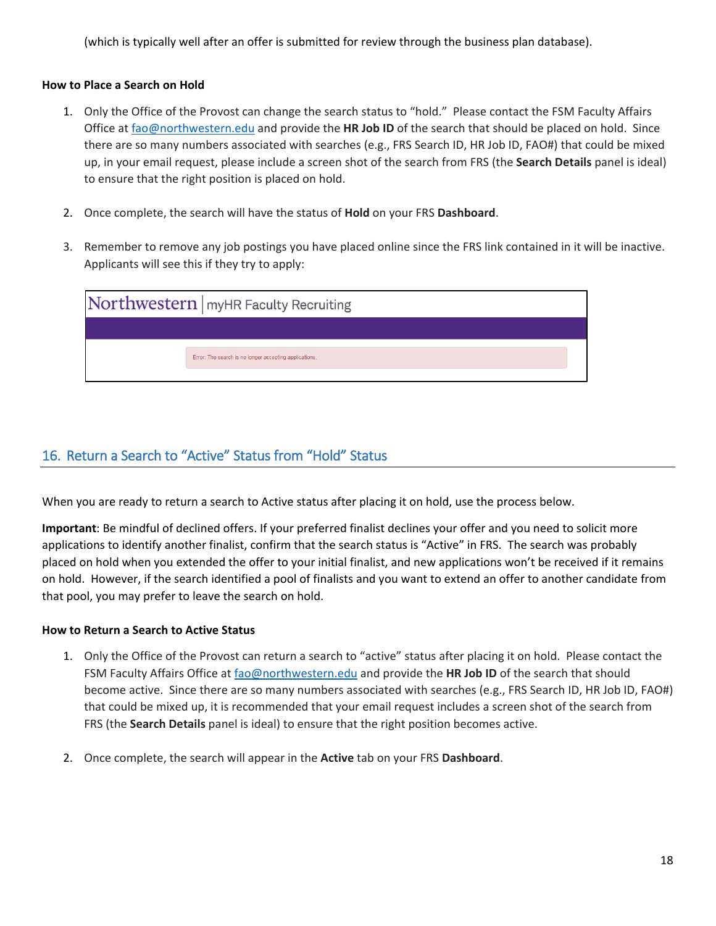(which is typically well after an offer is submitted for review through the business plan database).

#### **How to Place a Search on Hold**

- 1. Only the Office of the Provost can change the search status to "hold." Please contact the FSM Faculty Affairs Office a[t fao@northwestern.edu](mailto:fao@northwestern.edu) and provide the **HR Job ID** of the search that should be placed on hold. Since there are so many numbers associated with searches (e.g., FRS Search ID, HR Job ID, FAO#) that could be mixed up, in your email request, please include a screen shot of the search from FRS (the **Search Details** panel is ideal) to ensure that the right position is placed on hold.
- 2. Once complete, the search will have the status of **Hold** on your FRS **Dashboard**.
- 3. Remember to remove any job postings you have placed online since the FRS link contained in it will be inactive. Applicants will see this if they try to apply:

| Northwestern   myHR Faculty Recruiting                 |
|--------------------------------------------------------|
|                                                        |
| Error: The search is no longer accepting applications. |
|                                                        |

### <span id="page-17-0"></span>16. Return a Search to "Active" Status from "Hold" Status

When you are ready to return a search to Active status after placing it on hold, use the process below.

**Important**: Be mindful of declined offers. If your preferred finalist declines your offer and you need to solicit more applications to identify another finalist, confirm that the search status is "Active" in FRS. The search was probably placed on hold when you extended the offer to your initial finalist, and new applications won't be received if it remains on hold. However, if the search identified a pool of finalists and you want to extend an offer to another candidate from that pool, you may prefer to leave the search on hold.

#### **How to Return a Search to Active Status**

- 1. Only the Office of the Provost can return a search to "active" status after placing it on hold. Please contact the FSM Faculty Affairs Office at [fao@northwestern.edu](mailto:fao@northwestern.edu) and provide the **HR Job ID** of the search that should become active. Since there are so many numbers associated with searches (e.g., FRS Search ID, HR Job ID, FAO#) that could be mixed up, it is recommended that your email request includes a screen shot of the search from FRS (the **Search Details** panel is ideal) to ensure that the right position becomes active.
- 2. Once complete, the search will appear in the **Active** tab on your FRS **Dashboard**.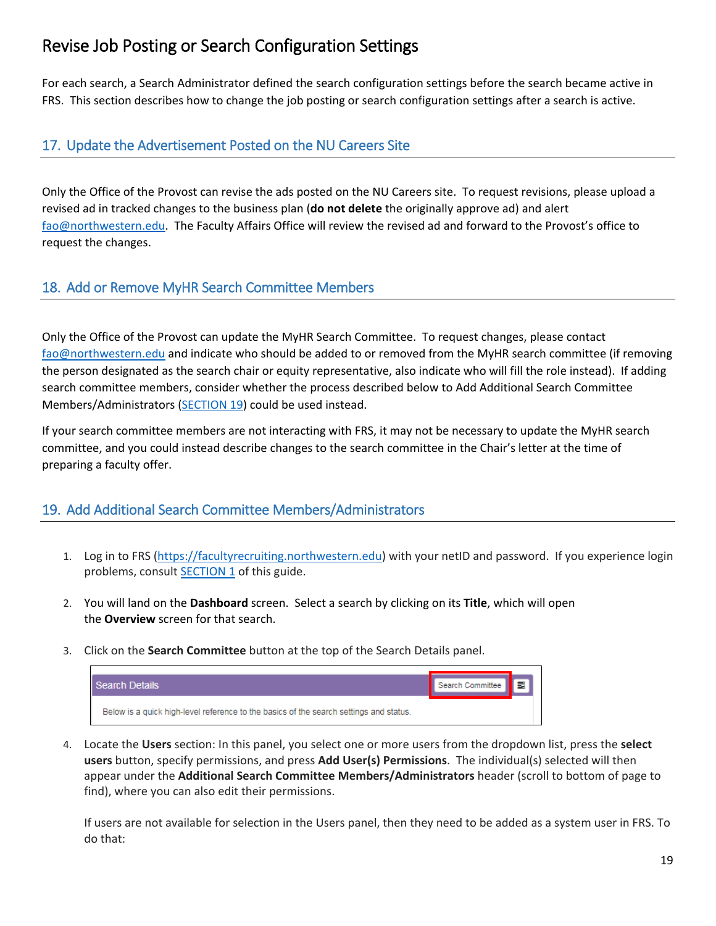# <span id="page-18-0"></span>Revise Job Posting or Search Configuration Settings

For each search, a Search Administrator defined the search configuration settings before the search became active in FRS. This section describes how to change the job posting or search configuration settings after a search is active.

### <span id="page-18-1"></span>17. Update the Advertisement Posted on the NU Careers Site

Only the Office of the Provost can revise the ads posted on the NU Careers site. To request revisions, please upload a revised ad in tracked changes to the business plan (**do not delete** the originally approve ad) and alert [fao@northwestern.edu.](mailto:fao@northwestern.edu) The Faculty Affairs Office will review the revised ad and forward to the Provost's office to request the changes.

### <span id="page-18-2"></span>18. Add or Remove MyHR Search Committee Members

Only the Office of the Provost can update the MyHR Search Committee. To request changes, please contact [fao@northwestern.edu](mailto:fao@northwestern.edu) and indicate who should be added to or removed from the MyHR search committee (if removing the person designated as the search chair or equity representative, also indicate who will fill the role instead). If adding search committee members, consider whether the process described below to Add Additional Search Committee Members/Administrators [\(SECTION 19\)](#page-18-4) could be used instead.

If your search committee members are not interacting with FRS, it may not be necessary to update the MyHR search committee, and you could instead describe changes to the search committee in the Chair's letter at the time of preparing a faculty offer.

## <span id="page-18-4"></span><span id="page-18-3"></span>19. Add Additional Search Committee Members/Administrators

- 1. Log in to FRS [\(https://facultyrecruiting.northwestern.edu\)](https://facultyrecruiting.northwestern.edu/) with your netID and password. If you experience login problems, consult **SECTION 1** of this guide.
- 2. You will land on the **Dashboard** screen. Select a search by clicking on its **Title**, which will open the **Overview** screen for that search.
- 3. Click on the **Search Committee** button at the top of the Search Details panel.

| I Search Details                                                                       | <sup>1</sup> Search Committee ┃ ■ 圜 ■ |  |
|----------------------------------------------------------------------------------------|---------------------------------------|--|
| Below is a quick high-level reference to the basics of the search settings and status. |                                       |  |

4. Locate the **Users** section: In this panel, you select one or more users from the dropdown list, press the **select users** button, specify permissions, and press **Add User(s) Permissions**. The individual(s) selected will then appear under the **Additional Search Committee Members/Administrators** header (scroll to bottom of page to find), where you can also edit their permissions.

If users are not available for selection in the Users panel, then they need to be added as a system user in FRS. To do that: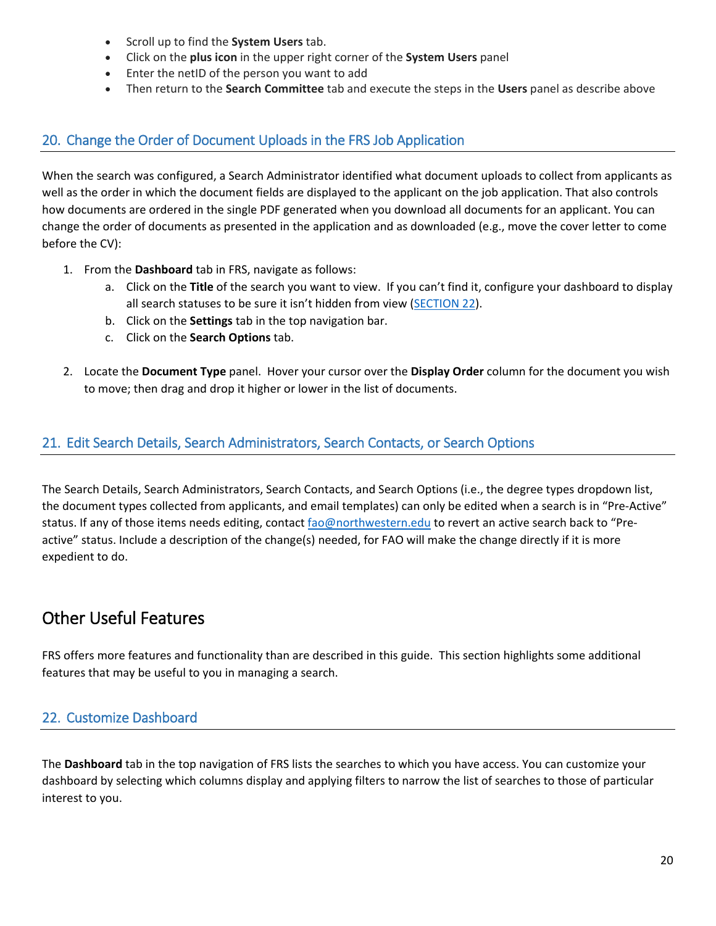- Scroll up to find the **System Users** tab.
- Click on the **plus icon** in the upper right corner of the **System Users** panel
- Enter the netID of the person you want to add
- Then return to the **Search Committee** tab and execute the steps in the **Users** panel as describe above

### <span id="page-19-0"></span>20. Change the Order of Document Uploads in the FRS Job Application

When the search was configured, a Search Administrator identified what document uploads to collect from applicants as well as the order in which the document fields are displayed to the applicant on the job application. That also controls how documents are ordered in the single PDF generated when you download all documents for an applicant. You can change the order of documents as presented in the application and as downloaded (e.g., move the cover letter to come before the CV):

- 1. From the **Dashboard** tab in FRS, navigate as follows:
	- a. Click on the **Title** of the search you want to view. If you can't find it, configure your dashboard to display all search statuses to be sure it isn't hidden from view [\(SECTION 22\)](#page-19-4).
	- b. Click on the **Settings** tab in the top navigation bar.
	- c. Click on the **Search Options** tab.
- 2. Locate the **Document Type** panel. Hover your cursor over the **Display Order** column for the document you wish to move; then drag and drop it higher or lower in the list of documents.

### <span id="page-19-1"></span>21. Edit Search Details, Search Administrators, Search Contacts, or Search Options

The Search Details, Search Administrators, Search Contacts, and Search Options (i.e., the degree types dropdown list, the document types collected from applicants, and email templates) can only be edited when a search is in "Pre-Active" status. If any of those items needs editing, contact [fao@northwestern.edu](mailto:fao@northwestern.edu) to revert an active search back to "Preactive" status. Include a description of the change(s) needed, for FAO will make the change directly if it is more expedient to do.

# <span id="page-19-2"></span>Other Useful Features

FRS offers more features and functionality than are described in this guide. This section highlights some additional features that may be useful to you in managing a search.

## <span id="page-19-4"></span><span id="page-19-3"></span>22. Customize Dashboard

The **Dashboard** tab in the top navigation of FRS lists the searches to which you have access. You can customize your dashboard by selecting which columns display and applying filters to narrow the list of searches to those of particular interest to you.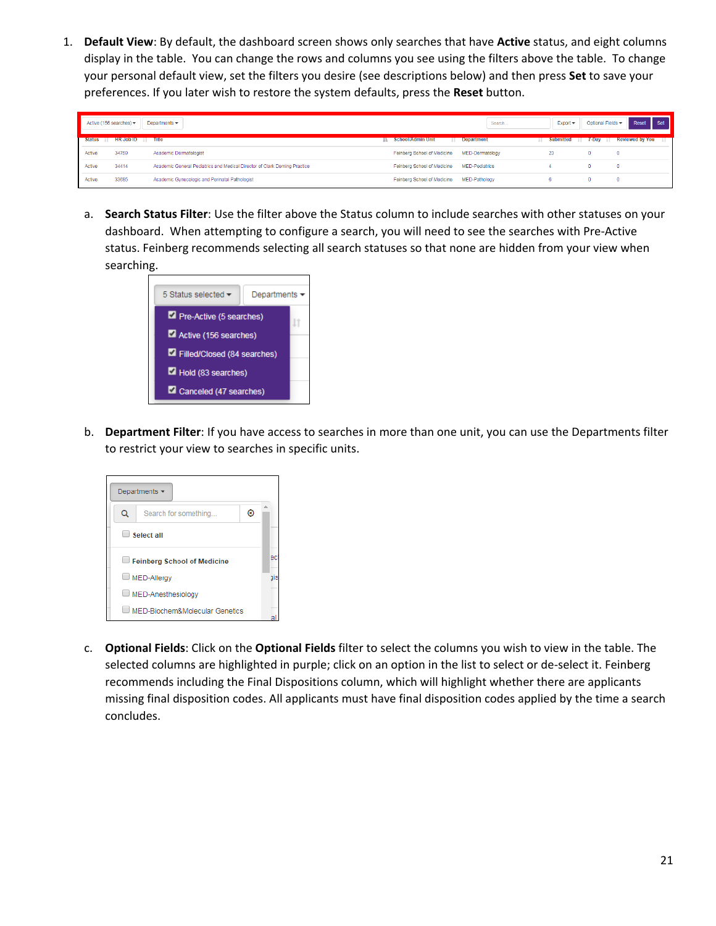1. **Default View**: By default, the dashboard screen shows only searches that have **Active** status, and eight columns display in the table. You can change the rows and columns you see using the filters above the table. To change your personal default view, set the filters you desire (see descriptions below) and then press **Set** to save your preferences. If you later wish to restore the system defaults, press the **Reset** button.

| Active (156 searches) -<br>Departments -<br>Search |                           |                                                                           |                             |                       | $Export -$            | Optional Fields - | Set<br>Reset           |    |
|----------------------------------------------------|---------------------------|---------------------------------------------------------------------------|-----------------------------|-----------------------|-----------------------|-------------------|------------------------|----|
| Status IT                                          | <b>HR Job ID</b> IT Title |                                                                           | <b>IL School/Admin Unit</b> | <b>Department</b>     | Submitted IT 7-Day IT |                   | <b>Reviewed by You</b> | ΠT |
| Active                                             | 34759                     | Academic Dermatologist                                                    | Feinberg School of Medicine | MED-Dermatology       | 23                    |                   | $\circ$                |    |
| Active                                             | 34414                     | Academic General Pediatrics and Medical Director of Clark Deming Practice | Feinberg School of Medicine | <b>MED-Pediatrics</b> |                       |                   | $\mathbf 0$            |    |
| Active                                             | 33685                     | Academic Gynecologic and Perinatal Pathologist                            | Feinberg School of Medicine | MED-Pathology         |                       |                   | n                      |    |

a. **Search Status Filter**: Use the filter above the Status column to include searches with other statuses on your dashboard. When attempting to configure a search, you will need to see the searches with Pre-Active status. Feinberg recommends selecting all search statuses so that none are hidden from your view when searching.



b. **Department Filter**: If you have access to searches in more than one unit, you can use the Departments filter to restrict your view to searches in specific units.

|                                | Departments $\sim$             |  |  |  |  |  |  |
|--------------------------------|--------------------------------|--|--|--|--|--|--|
| Q<br>⊠<br>Search for something |                                |  |  |  |  |  |  |
| $\mathbf{L}$                   | Select all                     |  |  |  |  |  |  |
| Feinberg School of Medicine    |                                |  |  |  |  |  |  |
|                                | MED-Allergy                    |  |  |  |  |  |  |
| MED-Anesthesiology             |                                |  |  |  |  |  |  |
|                                | MED-Biochem&Molecular Genetics |  |  |  |  |  |  |

c. **Optional Fields**: Click on the **Optional Fields** filter to select the columns you wish to view in the table. The selected columns are highlighted in purple; click on an option in the list to select or de-select it. Feinberg recommends including the Final Dispositions column, which will highlight whether there are applicants missing final disposition codes. All applicants must have final disposition codes applied by the time a search concludes.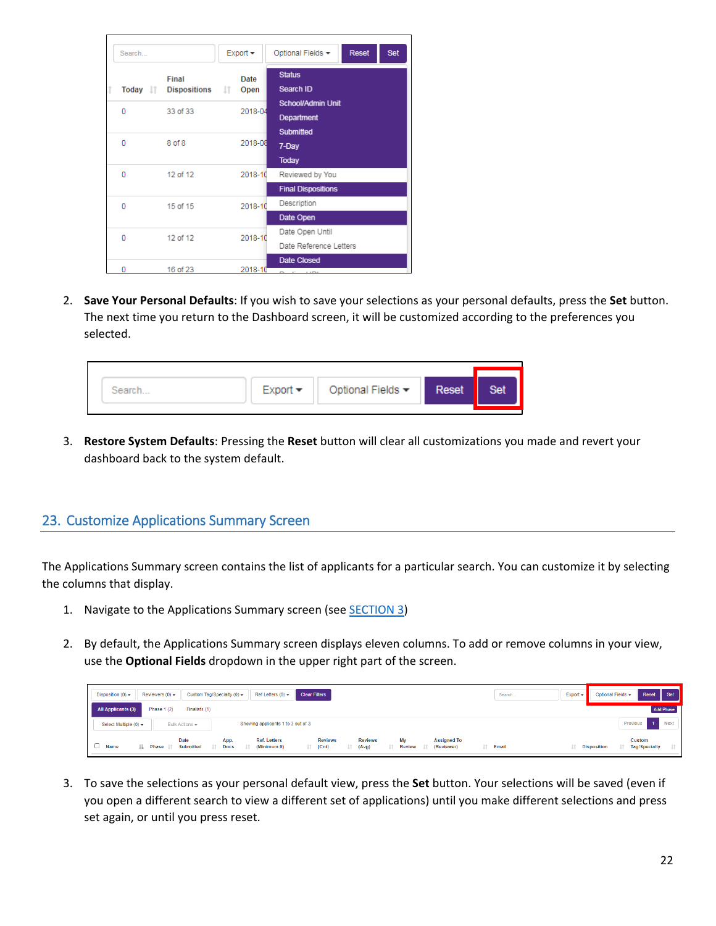| Search   |                                   | $Export -$ |              | <b>Reset</b><br>Set<br>Optional Fields -                   |
|----------|-----------------------------------|------------|--------------|------------------------------------------------------------|
|          | Final<br>Today It Dispositions It |            | Date<br>Open | <b>Status</b><br>Search ID                                 |
| 0        | 33 of 33                          |            | 2018-04      | <b>School/Admin Unit</b><br>Department<br><b>Submitted</b> |
| o        | 8 of 8                            |            | 2018-08      | 7-Day<br><b>Today</b>                                      |
| o        | 12 of 12                          |            | 2018-10      | Reviewed by You<br><b>Final Dispositions</b>               |
| 0        | 15 of 15                          |            | 2018-10      | Description<br>Date Open                                   |
| $\Omega$ | 12 of 12                          |            | 2018-10      | Date Open Until<br>Date Reference Letters                  |
|          | 16 of 23                          |            | 2018-10      | Date Closed<br>and the company                             |

2. **Save Your Personal Defaults**: If you wish to save your selections as your personal defaults, press the **Set** button. The next time you return to the Dashboard screen, it will be customized according to the preferences you selected.

| $Export =$ | Optional Fields $\blacktriangledown$ | Reset | Set |
|------------|--------------------------------------|-------|-----|
|            |                                      |       |     |

3. **Restore System Defaults**: Pressing the **Reset** button will clear all customizations you made and revert your dashboard back to the system default.

### <span id="page-21-1"></span><span id="page-21-0"></span>23. Customize Applications Summary Screen

The Applications Summary screen contains the list of applicants for a particular search. You can customize it by selecting the columns that display.

- 1. Navigate to the Applications Summary screen (see [SECTION 3\)](#page-3-0)
- 2. By default, the Applications Summary screen displays eleven columns. To add or remove columns in your view, use the **Optional Fields** dropdown in the upper right part of the screen.

| Ref Letters $(0)$ $\star$<br>Custom Tag/Specialty (0) -<br><b>Clear Filters</b><br>Reviewers $(0)$ $-$<br>Disposition $(0)$ -                                                                                                                            | $Export - $<br>Search | Reset<br>Set<br>Optional Fields -                           |
|----------------------------------------------------------------------------------------------------------------------------------------------------------------------------------------------------------------------------------------------------------|-----------------------|-------------------------------------------------------------|
| <b>All Applicants (3)</b><br>Phase 1 (2)<br>Finalists (1)                                                                                                                                                                                                |                       | <b>Add Phase</b>                                            |
| Showing applicants 1 to 3 out of 3.<br>Select Multiple $(0)$ $\star$<br>Bulk Actions +                                                                                                                                                                   |                       | <b>Next</b><br>Previous                                     |
| My<br><b>Date</b><br><b>Ref. Letters</b><br><b>Assigned To</b><br><b>Reviews</b><br><b>Reviews</b><br>App.<br>Name<br>Submitted<br>(Reviewer)<br>(Minimum 0)<br>Email<br><b>Docs</b><br>(Cnt)<br>(Avg)<br><b>Review</b><br>Phase IT<br>JT.<br>lî.<br>lä. | IT.                   | <b>Custom</b><br><b>Tag/Specialty</b><br><b>Disposition</b> |

3. To save the selections as your personal default view, press the **Set** button. Your selections will be saved (even if you open a different search to view a different set of applications) until you make different selections and press set again, or until you press reset.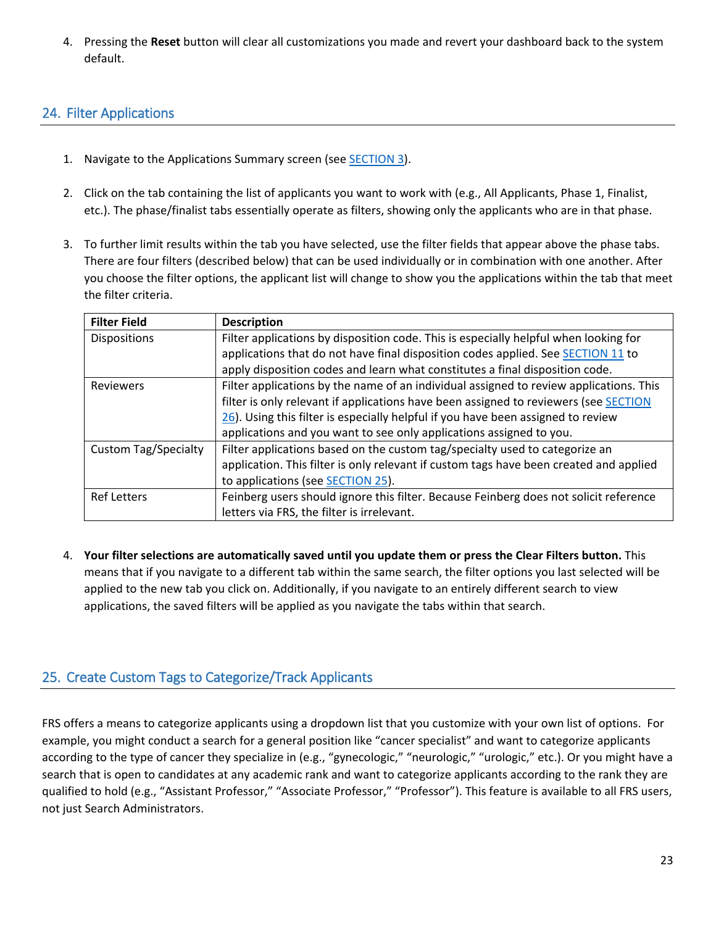4. Pressing the **Reset** button will clear all customizations you made and revert your dashboard back to the system default.

## <span id="page-22-3"></span><span id="page-22-1"></span>24. Filter Applications

- 1. Navigate to the Applications Summary screen (see [SECTION 3\)](#page-3-0).
- 2. Click on the tab containing the list of applicants you want to work with (e.g., All Applicants, Phase 1, Finalist, etc.). The phase/finalist tabs essentially operate as filters, showing only the applicants who are in that phase.
- 3. To further limit results within the tab you have selected, use the filter fields that appear above the phase tabs. There are four filters (described below) that can be used individually or in combination with one another. After you choose the filter options, the applicant list will change to show you the applications within the tab that meet the filter criteria.

| <b>Filter Field</b>         | <b>Description</b>                                                                     |
|-----------------------------|----------------------------------------------------------------------------------------|
| Dispositions                | Filter applications by disposition code. This is especially helpful when looking for   |
|                             | applications that do not have final disposition codes applied. See SECTION 11 to       |
|                             | apply disposition codes and learn what constitutes a final disposition code.           |
| <b>Reviewers</b>            | Filter applications by the name of an individual assigned to review applications. This |
|                             | filter is only relevant if applications have been assigned to reviewers (see SECTION   |
|                             | 26). Using this filter is especially helpful if you have been assigned to review       |
|                             | applications and you want to see only applications assigned to you.                    |
| <b>Custom Tag/Specialty</b> | Filter applications based on the custom tag/specialty used to categorize an            |
|                             | application. This filter is only relevant if custom tags have been created and applied |
|                             | to applications (see SECTION 25).                                                      |
| <b>Ref Letters</b>          | Feinberg users should ignore this filter. Because Feinberg does not solicit reference  |
|                             | letters via FRS, the filter is irrelevant.                                             |

4. **Your filter selections are automatically saved until you update them or press the Clear Filters button.** This means that if you navigate to a different tab within the same search, the filter options you last selected will be applied to the new tab you click on. Additionally, if you navigate to an entirely different search to view applications, the saved filters will be applied as you navigate the tabs within that search.

# <span id="page-22-2"></span><span id="page-22-0"></span>25. Create Custom Tags to Categorize/Track Applicants

FRS offers a means to categorize applicants using a dropdown list that you customize with your own list of options. For example, you might conduct a search for a general position like "cancer specialist" and want to categorize applicants according to the type of cancer they specialize in (e.g., "gynecologic," "neurologic," "urologic," etc.). Or you might have a search that is open to candidates at any academic rank and want to categorize applicants according to the rank they are qualified to hold (e.g., "Assistant Professor," "Associate Professor," "Professor"). This feature is available to all FRS users, not just Search Administrators.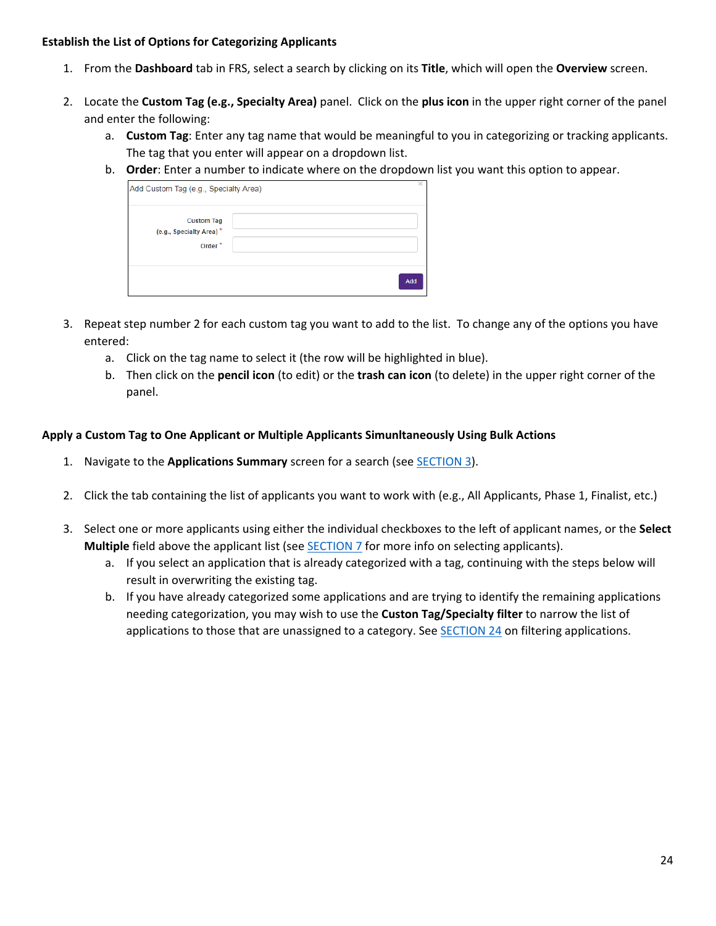#### **Establish the List of Options for Categorizing Applicants**

- 1. From the **Dashboard** tab in FRS, select a search by clicking on its **Title**, which will open the **Overview** screen.
- 2. Locate the **Custom Tag (e.g., Specialty Area)** panel. Click on the **plus icon** in the upper right corner of the panel and enter the following:
	- a. **Custom Tag**: Enter any tag name that would be meaningful to you in categorizing or tracking applicants. The tag that you enter will appear on a dropdown list.
	- b. **Order**: Enter a number to indicate where on the dropdown list you want this option to appear.

| Add Custom Tag (e.g., Specialty Area)                              |     | × |
|--------------------------------------------------------------------|-----|---|
| <b>Custom Tag</b><br>(e.g., Specialty Area)*<br>Order <sup>*</sup> |     |   |
|                                                                    | Add |   |

- 3. Repeat step number 2 for each custom tag you want to add to the list. To change any of the options you have entered:
	- a. Click on the tag name to select it (the row will be highlighted in blue).
	- b. Then click on the **pencil icon** (to edit) or the **trash can icon** (to delete) in the upper right corner of the panel.

### **Apply a Custom Tag to One Applicant or Multiple Applicants Simunltaneously Using Bulk Actions**

- 1. Navigate to the **Applications Summary** screen for a search (se[e SECTION 3\)](#page-3-0).
- 2. Click the tab containing the list of applicants you want to work with (e.g., All Applicants, Phase 1, Finalist, etc.)
- 3. Select one or more applicants using either the individual checkboxes to the left of applicant names, or the **Select Multiple** field above the applicant list (see **SECTION 7** for more info on selecting applicants).
	- a. If you select an application that is already categorized with a tag, continuing with the steps below will result in overwriting the existing tag.
	- b. If you have already categorized some applications and are trying to identify the remaining applications needing categorization, you may wish to use the **Custon Tag/Specialty filter** to narrow the list of applications to those that are unassigned to a category. See [SECTION 24](#page-22-3) on filtering applications.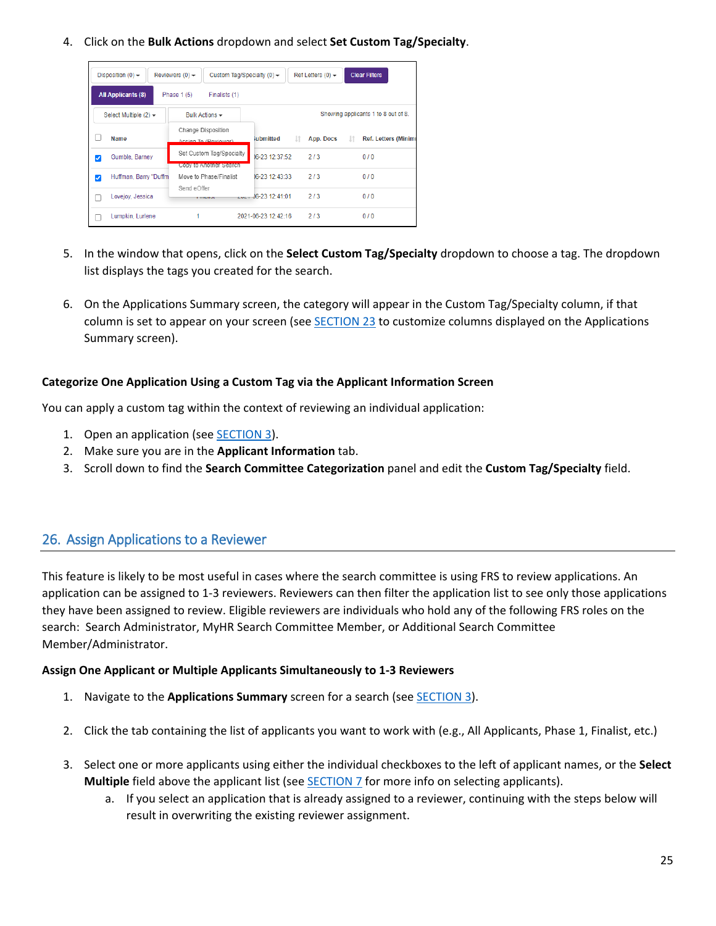4. Click on the **Bulk Actions** dropdown and select **Set Custom Tag/Specialty**.

|   | Disposition $(0)$ $\rightarrow$ | Reviewers $(0)$ $\star$<br>Custom Tag/Specialty (0) $\star$ |                     | Ref Letters $(0)$ $\star$ | <b>Clear Filters</b>                |
|---|---------------------------------|-------------------------------------------------------------|---------------------|---------------------------|-------------------------------------|
|   | <b>All Applicants (8)</b>       | Phase $1(5)$<br>Finalists (1)                               |                     |                           |                                     |
|   | Select Multiple $(2)$ $\star$   | Bulk Actions -                                              |                     |                           | Showing applicants 1 to 8 out of 8. |
|   | Name                            | Change Disposition<br>Accinn To (Reviewer)                  | iubmitted           | 1î<br>App. Docs           | <b>Ref. Letters (Minim</b><br>Jî.   |
| ✓ | Gumble, Barney                  | Set Custom Tag/Specialty<br>Copy to Another Search          | 16-23 12:37:52      | 2/3                       | 0/0                                 |
| ✓ | Huffman, Barry "Duffm           | Move to Phase/Finalist                                      | 06-23 12:43:33      | 2/3                       | 0/0                                 |
|   | Lovejov, Jessica                | Send eOffer<br><b>Littuation</b>                            | $-46-23$ 12:41:01   | 2/3                       | 0/0                                 |
|   | Lumpkin, Lurlene                |                                                             | 2021-06-23 12:42:16 | 2/3                       | 0/0                                 |

- 5. In the window that opens, click on the **Select Custom Tag/Specialty** dropdown to choose a tag. The dropdown list displays the tags you created for the search.
- 6. On the Applications Summary screen, the category will appear in the Custom Tag/Specialty column, if that column is set to appear on your screen (see **SECTION 23** to customize columns displayed on the Applications Summary screen).

### **Categorize One Application Using a Custom Tag via the Applicant Information Screen**

You can apply a custom tag within the context of reviewing an individual application:

- 1. Open an application (see **SECTION 3**).
- 2. Make sure you are in the **Applicant Information** tab.
- 3. Scroll down to find the **Search Committee Categorization** panel and edit the **Custom Tag/Specialty** field.

### <span id="page-24-1"></span><span id="page-24-0"></span>26. Assign Applications to a Reviewer

This feature is likely to be most useful in cases where the search committee is using FRS to review applications. An application can be assigned to 1-3 reviewers. Reviewers can then filter the application list to see only those applications they have been assigned to review. Eligible reviewers are individuals who hold any of the following FRS roles on the search: Search Administrator, MyHR Search Committee Member, or Additional Search Committee Member/Administrator.

#### **Assign One Applicant or Multiple Applicants Simultaneously to 1-3 Reviewers**

- 1. Navigate to the **Applications Summary** screen for a search (see [SECTION 3\)](#page-3-0).
- 2. Click the tab containing the list of applicants you want to work with (e.g., All Applicants, Phase 1, Finalist, etc.)
- 3. Select one or more applicants using either the individual checkboxes to the left of applicant names, or the **Select Multiple** field above the applicant list (see **SECTION 7** for more info on selecting applicants).
	- a. If you select an application that is already assigned to a reviewer, continuing with the steps below will result in overwriting the existing reviewer assignment.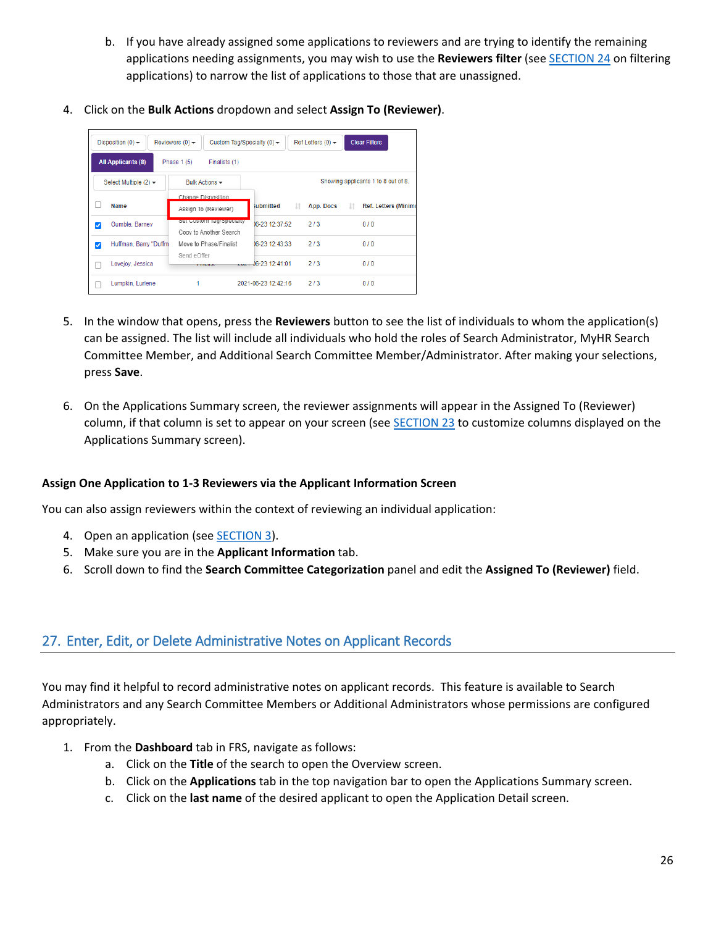- b. If you have already assigned some applications to reviewers and are trying to identify the remaining applications needing assignments, you may wish to use the **Reviewers filter** (see [SECTION 24](#page-22-3) on filtering applications) to narrow the list of applications to those that are unassigned.
- 4. Click on the **Bulk Actions** dropdown and select **Assign To (Reviewer)**.

|   | Disposition $(0)$ $\rightarrow$<br>Reviewers $(0)$ $\star$<br><b>Clear Filters</b><br>Custom Tag/Specialty (0) $\blacktriangleright$<br>Ref Letters $(0)$ $\rightarrow$ |                                                    |                        |                 |                                     |  |  |  |
|---|-------------------------------------------------------------------------------------------------------------------------------------------------------------------------|----------------------------------------------------|------------------------|-----------------|-------------------------------------|--|--|--|
|   | <b>All Applicants (8)</b><br>Phase 1 (5)<br>Finalists (1)                                                                                                               |                                                    |                        |                 |                                     |  |  |  |
|   | Select Multiple $(2)$ $\rightarrow$                                                                                                                                     | Bulk Actions -                                     |                        |                 | Showing applicants 1 to 8 out of 8. |  |  |  |
|   | Name                                                                                                                                                                    | Change Disposition<br>Assign To (Reviewer)         | iubmitted              | 1î<br>App. Docs | <b>Ref. Letters (Minimu</b>         |  |  |  |
| ⊽ | Gumble, Barney                                                                                                                                                          | Set Custom Tag/Specialty<br>Copy to Another Search | 06-23 12:37:52         | 2/3             | 0/0                                 |  |  |  |
| ⊽ | Huffman, Barry "Duffm                                                                                                                                                   | Move to Phase/Finalist<br>Send eOffer              | 06-23 12:43:33         | 213             | 0/0                                 |  |  |  |
|   | Lovejoy, Jessica                                                                                                                                                        | <b>THEMION</b>                                     | $-44.36 - 23.12:41:01$ | 2/3             | 0/0                                 |  |  |  |
|   | Lumpkin, Lurlene                                                                                                                                                        |                                                    | 2021-06-23 12:42:16    | 2/3             | 0/0                                 |  |  |  |

- 5. In the window that opens, press the **Reviewers** button to see the list of individuals to whom the application(s) can be assigned. The list will include all individuals who hold the roles of Search Administrator, MyHR Search Committee Member, and Additional Search Committee Member/Administrator. After making your selections, press **Save**.
- 6. On the Applications Summary screen, the reviewer assignments will appear in the Assigned To (Reviewer) column, if that column is set to appear on your screen (see [SECTION 23](#page-21-1) to customize columns displayed on the Applications Summary screen).

### **Assign One Application to 1-3 Reviewers via the Applicant Information Screen**

You can also assign reviewers within the context of reviewing an individual application:

- 4. Open an application (see [SECTION](#page-3-0) 3).
- 5. Make sure you are in the **Applicant Information** tab.
- 6. Scroll down to find the **Search Committee Categorization** panel and edit the **Assigned To (Reviewer)** field.

## <span id="page-25-1"></span><span id="page-25-0"></span>27. Enter, Edit, or Delete Administrative Notes on Applicant Records

You may find it helpful to record administrative notes on applicant records. This feature is available to Search Administrators and any Search Committee Members or Additional Administrators whose permissions are configured appropriately.

- 1. From the **Dashboard** tab in FRS, navigate as follows:
	- a. Click on the **Title** of the search to open the Overview screen.
	- b. Click on the **Applications** tab in the top navigation bar to open the Applications Summary screen.
	- c. Click on the **last name** of the desired applicant to open the Application Detail screen.